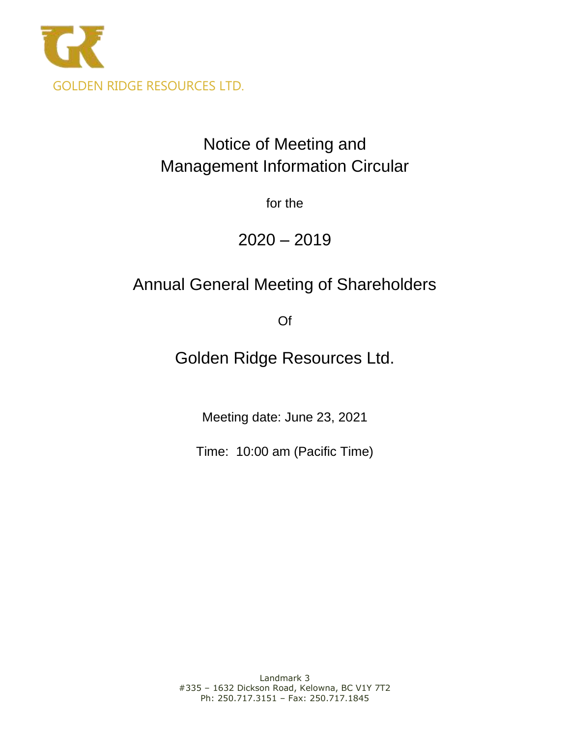

# Notice of Meeting and Management Information Circular

for the

 $2020 - 2019$ 

# Annual General Meeting of Shareholders

Of

Golden Ridge Resources Ltd.

Meeting date: June 23, 2021

Time: 10:00 am (Pacific Time)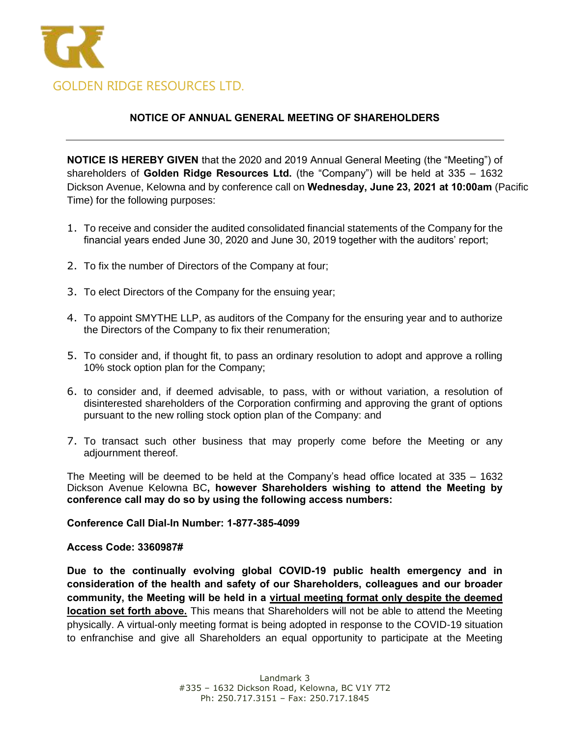

# **NOTICE OF ANNUAL GENERAL MEETING OF SHAREHOLDERS**

**NOTICE IS HEREBY GIVEN** that the 2020 and 2019 Annual General Meeting (the "Meeting") of shareholders of **Golden Ridge Resources Ltd.** (the "Company") will be held at 335 – 1632 Dickson Avenue, Kelowna and by conference call on **Wednesday, June 23, 2021 at 10:00am** (Pacific Time) for the following purposes:

- 1. To receive and consider the audited consolidated financial statements of the Company for the financial years ended June 30, 2020 and June 30, 2019 together with the auditors' report;
- 2. To fix the number of Directors of the Company at four;
- 3. To elect Directors of the Company for the ensuing year;
- 4. To appoint SMYTHE LLP, as auditors of the Company for the ensuring year and to authorize the Directors of the Company to fix their renumeration;
- 5. To consider and, if thought fit, to pass an ordinary resolution to adopt and approve a rolling 10% stock option plan for the Company;
- 6. to consider and, if deemed advisable, to pass, with or without variation, a resolution of disinterested shareholders of the Corporation confirming and approving the grant of options pursuant to the new rolling stock option plan of the Company: and
- 7. To transact such other business that may properly come before the Meeting or any adjournment thereof.

The Meeting will be deemed to be held at the Company's head office located at 335 – 1632 Dickson Avenue Kelowna BC**, however Shareholders wishing to attend the Meeting by conference call may do so by using the following access numbers:**

**Conference Call Dial**‐**In Number: 1-877-385-4099**

**Access Code: 3360987#**

**Due to the continually evolving global COVID-19 public health emergency and in consideration of the health and safety of our Shareholders, colleagues and our broader community, the Meeting will be held in a virtual meeting format only despite the deemed location set forth above.** This means that Shareholders will not be able to attend the Meeting physically. A virtual-only meeting format is being adopted in response to the COVID-19 situation to enfranchise and give all Shareholders an equal opportunity to participate at the Meeting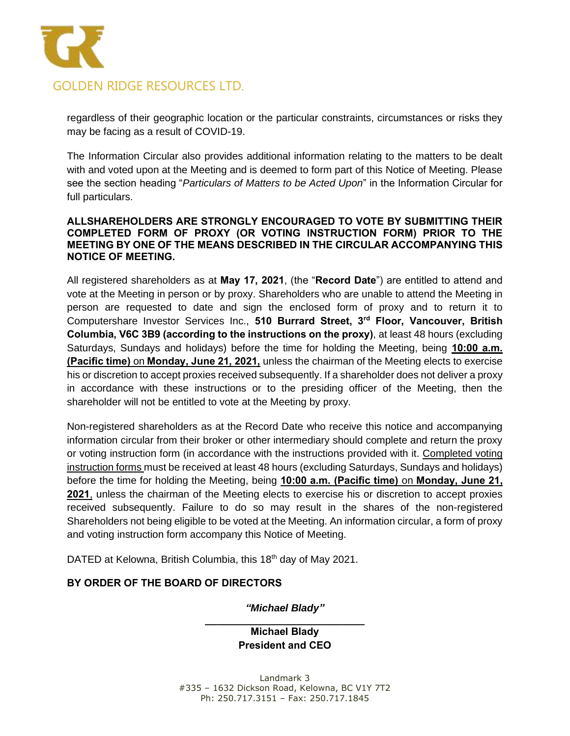

regardless of their geographic location or the particular constraints, circumstances or risks they may be facing as a result of COVID-19.

The Information Circular also provides additional information relating to the matters to be dealt with and voted upon at the Meeting and is deemed to form part of this Notice of Meeting. Please see the section heading "*Particulars of Matters to be Acted Upon*" in the Information Circular for full particulars.

#### **ALLSHAREHOLDERS ARE STRONGLY ENCOURAGED TO VOTE BY SUBMITTING THEIR COMPLETED FORM OF PROXY (OR VOTING INSTRUCTION FORM) PRIOR TO THE MEETING BY ONE OF THE MEANS DESCRIBED IN THE CIRCULAR ACCOMPANYING THIS NOTICE OF MEETING.**

All registered shareholders as at **May 17, 2021**, (the "**Record Date**") are entitled to attend and vote at the Meeting in person or by proxy. Shareholders who are unable to attend the Meeting in person are requested to date and sign the enclosed form of proxy and to return it to Computershare Investor Services Inc., **510 Burrard Street, 3rd Floor, Vancouver, British Columbia, V6C 3B9 (according to the instructions on the proxy)**, at least 48 hours (excluding Saturdays, Sundays and holidays) before the time for holding the Meeting, being **10:00 a.m. (Pacific time)** on **Monday, June 21, 2021,** unless the chairman of the Meeting elects to exercise his or discretion to accept proxies received subsequently. If a shareholder does not deliver a proxy in accordance with these instructions or to the presiding officer of the Meeting, then the shareholder will not be entitled to vote at the Meeting by proxy.

Non-registered shareholders as at the Record Date who receive this notice and accompanying information circular from their broker or other intermediary should complete and return the proxy or voting instruction form (in accordance with the instructions provided with it. Completed voting instruction forms must be received at least 48 hours (excluding Saturdays, Sundays and holidays) before the time for holding the Meeting, being **10:00 a.m. (Pacific time)** on **Monday, June 21, 2021**, unless the chairman of the Meeting elects to exercise his or discretion to accept proxies received subsequently. Failure to do so may result in the shares of the non-registered Shareholders not being eligible to be voted at the Meeting. An information circular, a form of proxy and voting instruction form accompany this Notice of Meeting.

DATED at Kelowna, British Columbia, this 18<sup>th</sup> day of May 2021.

# **BY ORDER OF THE BOARD OF DIRECTORS**

*"Michael Blady"*

**\_\_\_\_\_\_\_\_\_\_\_\_\_\_\_\_\_\_\_\_\_\_\_\_\_\_\_\_ Michael Blady President and CEO**

Landmark 3 #335 – 1632 Dickson Road, Kelowna, BC V1Y 7T2 Ph: 250.717.3151 – Fax: 250.717.1845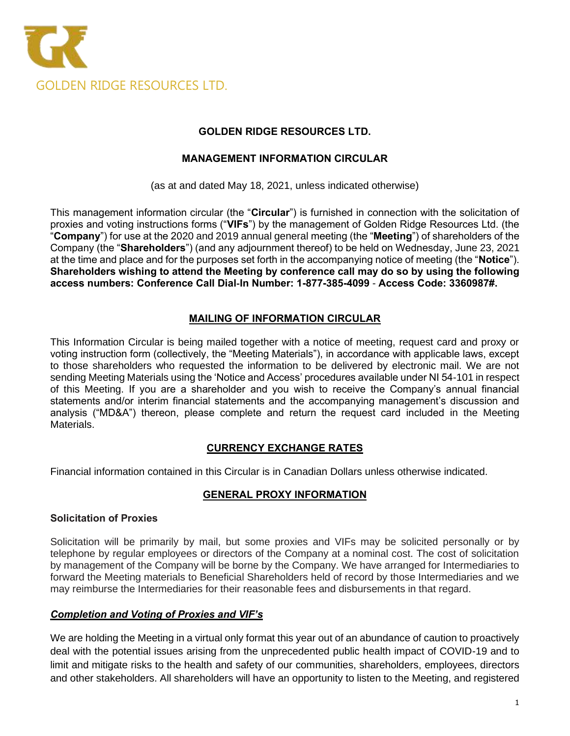

# **MANAGEMENT INFORMATION CIRCULAR**

(as at and dated May 18, 2021, unless indicated otherwise)

This management information circular (the "**Circular**") is furnished in connection with the solicitation of proxies and voting instructions forms ("**VIFs**") by the management of Golden Ridge Resources Ltd. (the "**Company**") for use at the 2020 and 2019 annual general meeting (the "**Meeting**") of shareholders of the Company (the "**Shareholders**") (and any adjournment thereof) to be held on Wednesday, June 23, 2021 at the time and place and for the purposes set forth in the accompanying notice of meeting (the "**Notice**"). **Shareholders wishing to attend the Meeting by conference call may do so by using the following access numbers: Conference Call Dial**‐**In Number: 1-877-385-4099** - **Access Code: 3360987#.**

# **MAILING OF INFORMATION CIRCULAR**

This Information Circular is being mailed together with a notice of meeting, request card and proxy or voting instruction form (collectively, the "Meeting Materials"), in accordance with applicable laws, except to those shareholders who requested the information to be delivered by electronic mail. We are not sending Meeting Materials using the 'Notice and Access' procedures available under NI 54-101 in respect of this Meeting. If you are a shareholder and you wish to receive the Company's annual financial statements and/or interim financial statements and the accompanying management's discussion and analysis ("MD&A") thereon, please complete and return the request card included in the Meeting Materials.

# **CURRENCY EXCHANGE RATES**

Financial information contained in this Circular is in Canadian Dollars unless otherwise indicated.

# **GENERAL PROXY INFORMATION**

#### **Solicitation of Proxies**

Solicitation will be primarily by mail, but some proxies and VIFs may be solicited personally or by telephone by regular employees or directors of the Company at a nominal cost. The cost of solicitation by management of the Company will be borne by the Company. We have arranged for Intermediaries to forward the Meeting materials to Beneficial Shareholders held of record by those Intermediaries and we may reimburse the Intermediaries for their reasonable fees and disbursements in that regard.

# *Completion and Voting of Proxies and VIF's*

We are holding the Meeting in a virtual only format this year out of an abundance of caution to proactively deal with the potential issues arising from the unprecedented public health impact of COVID-19 and to limit and mitigate risks to the health and safety of our communities, shareholders, employees, directors and other stakeholders. All shareholders will have an opportunity to listen to the Meeting, and registered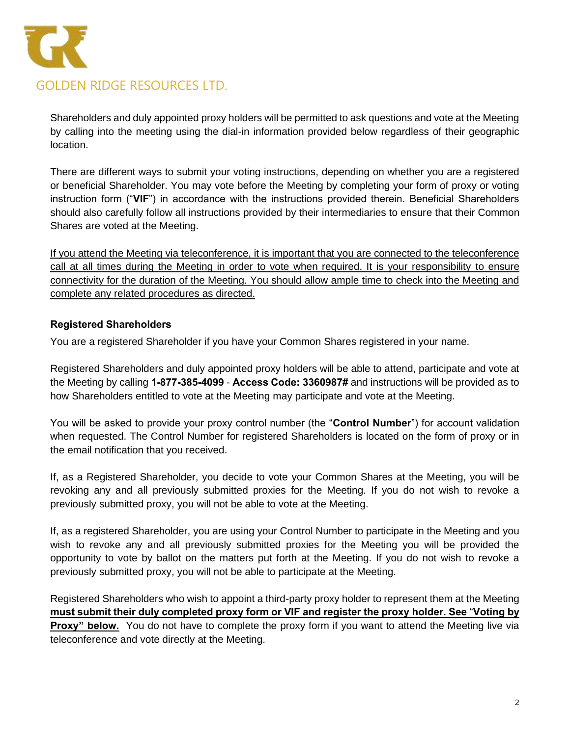

Shareholders and duly appointed proxy holders will be permitted to ask questions and vote at the Meeting by calling into the meeting using the dial-in information provided below regardless of their geographic location.

There are different ways to submit your voting instructions, depending on whether you are a registered or beneficial Shareholder. You may vote before the Meeting by completing your form of proxy or voting instruction form ("**VIF**") in accordance with the instructions provided therein. Beneficial Shareholders should also carefully follow all instructions provided by their intermediaries to ensure that their Common Shares are voted at the Meeting.

If you attend the Meeting via teleconference, it is important that you are connected to the teleconference call at all times during the Meeting in order to vote when required. It is your responsibility to ensure connectivity for the duration of the Meeting. You should allow ample time to check into the Meeting and complete any related procedures as directed.

# **Registered Shareholders**

You are a registered Shareholder if you have your Common Shares registered in your name.

Registered Shareholders and duly appointed proxy holders will be able to attend, participate and vote at the Meeting by calling **1-877-385-4099** - **Access Code: 3360987#** and instructions will be provided as to how Shareholders entitled to vote at the Meeting may participate and vote at the Meeting.

You will be asked to provide your proxy control number (the "**Control Number**") for account validation when requested. The Control Number for registered Shareholders is located on the form of proxy or in the email notification that you received.

If, as a Registered Shareholder, you decide to vote your Common Shares at the Meeting, you will be revoking any and all previously submitted proxies for the Meeting. If you do not wish to revoke a previously submitted proxy, you will not be able to vote at the Meeting.

If, as a registered Shareholder, you are using your Control Number to participate in the Meeting and you wish to revoke any and all previously submitted proxies for the Meeting you will be provided the opportunity to vote by ballot on the matters put forth at the Meeting. If you do not wish to revoke a previously submitted proxy, you will not be able to participate at the Meeting.

Registered Shareholders who wish to appoint a third-party proxy holder to represent them at the Meeting **must submit their duly completed proxy form or VIF and register the proxy holder. See** "**Voting by Proxy" below.** You do not have to complete the proxy form if you want to attend the Meeting live via teleconference and vote directly at the Meeting.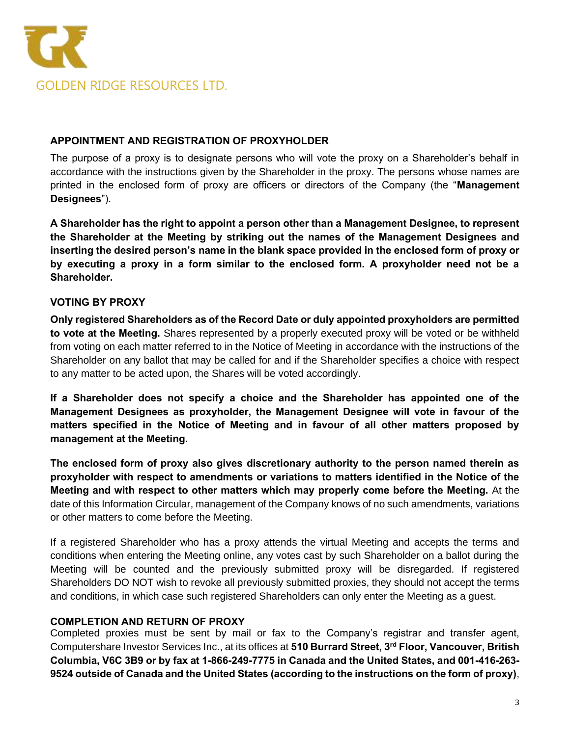

# **APPOINTMENT AND REGISTRATION OF PROXYHOLDER**

The purpose of a proxy is to designate persons who will vote the proxy on a Shareholder's behalf in accordance with the instructions given by the Shareholder in the proxy. The persons whose names are printed in the enclosed form of proxy are officers or directors of the Company (the "**Management Designees**").

**A Shareholder has the right to appoint a person other than a Management Designee, to represent the Shareholder at the Meeting by striking out the names of the Management Designees and inserting the desired person's name in the blank space provided in the enclosed form of proxy or by executing a proxy in a form similar to the enclosed form. A proxyholder need not be a Shareholder.**

# **VOTING BY PROXY**

**Only registered Shareholders as of the Record Date or duly appointed proxyholders are permitted to vote at the Meeting.** Shares represented by a properly executed proxy will be voted or be withheld from voting on each matter referred to in the Notice of Meeting in accordance with the instructions of the Shareholder on any ballot that may be called for and if the Shareholder specifies a choice with respect to any matter to be acted upon, the Shares will be voted accordingly.

**If a Shareholder does not specify a choice and the Shareholder has appointed one of the Management Designees as proxyholder, the Management Designee will vote in favour of the matters specified in the Notice of Meeting and in favour of all other matters proposed by management at the Meeting.**

**The enclosed form of proxy also gives discretionary authority to the person named therein as proxyholder with respect to amendments or variations to matters identified in the Notice of the Meeting and with respect to other matters which may properly come before the Meeting.** At the date of this Information Circular, management of the Company knows of no such amendments, variations or other matters to come before the Meeting.

If a registered Shareholder who has a proxy attends the virtual Meeting and accepts the terms and conditions when entering the Meeting online, any votes cast by such Shareholder on a ballot during the Meeting will be counted and the previously submitted proxy will be disregarded. If registered Shareholders DO NOT wish to revoke all previously submitted proxies, they should not accept the terms and conditions, in which case such registered Shareholders can only enter the Meeting as a guest.

# **COMPLETION AND RETURN OF PROXY**

Completed proxies must be sent by mail or fax to the Company's registrar and transfer agent, Computershare Investor Services Inc., at its offices at **510 Burrard Street, 3rd Floor, Vancouver, British Columbia, V6C 3B9 or by fax at 1-866-249-7775 in Canada and the United States, and 001-416-263- 9524 outside of Canada and the United States (according to the instructions on the form of proxy)**,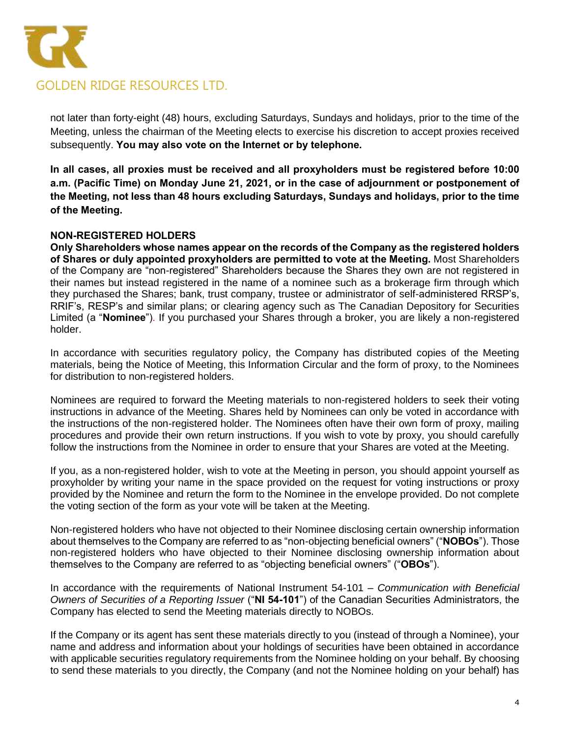

not later than forty-eight (48) hours, excluding Saturdays, Sundays and holidays, prior to the time of the Meeting, unless the chairman of the Meeting elects to exercise his discretion to accept proxies received subsequently. **You may also vote on the Internet or by telephone.** 

**In all cases, all proxies must be received and all proxyholders must be registered before 10:00 a.m. (Pacific Time) on Monday June 21, 2021, or in the case of adjournment or postponement of the Meeting, not less than 48 hours excluding Saturdays, Sundays and holidays, prior to the time of the Meeting.**

# **NON-REGISTERED HOLDERS**

**Only Shareholders whose names appear on the records of the Company as the registered holders of Shares or duly appointed proxyholders are permitted to vote at the Meeting.** Most Shareholders of the Company are "non-registered" Shareholders because the Shares they own are not registered in their names but instead registered in the name of a nominee such as a brokerage firm through which they purchased the Shares; bank, trust company, trustee or administrator of self-administered RRSP's, RRIF's, RESP's and similar plans; or clearing agency such as The Canadian Depository for Securities Limited (a "**Nominee**"). If you purchased your Shares through a broker, you are likely a non-registered holder.

In accordance with securities regulatory policy, the Company has distributed copies of the Meeting materials, being the Notice of Meeting, this Information Circular and the form of proxy, to the Nominees for distribution to non-registered holders.

Nominees are required to forward the Meeting materials to non-registered holders to seek their voting instructions in advance of the Meeting. Shares held by Nominees can only be voted in accordance with the instructions of the non-registered holder. The Nominees often have their own form of proxy, mailing procedures and provide their own return instructions. If you wish to vote by proxy, you should carefully follow the instructions from the Nominee in order to ensure that your Shares are voted at the Meeting.

If you, as a non-registered holder, wish to vote at the Meeting in person, you should appoint yourself as proxyholder by writing your name in the space provided on the request for voting instructions or proxy provided by the Nominee and return the form to the Nominee in the envelope provided. Do not complete the voting section of the form as your vote will be taken at the Meeting.

Non-registered holders who have not objected to their Nominee disclosing certain ownership information about themselves to the Company are referred to as "non-objecting beneficial owners" ("**NOBOs**"). Those non-registered holders who have objected to their Nominee disclosing ownership information about themselves to the Company are referred to as "objecting beneficial owners" ("**OBOs**").

In accordance with the requirements of National Instrument 54-101 – *Communication with Beneficial Owners of Securities of a Reporting Issuer* ("**NI 54-101**") of the Canadian Securities Administrators, the Company has elected to send the Meeting materials directly to NOBOs.

If the Company or its agent has sent these materials directly to you (instead of through a Nominee), your name and address and information about your holdings of securities have been obtained in accordance with applicable securities regulatory requirements from the Nominee holding on your behalf. By choosing to send these materials to you directly, the Company (and not the Nominee holding on your behalf) has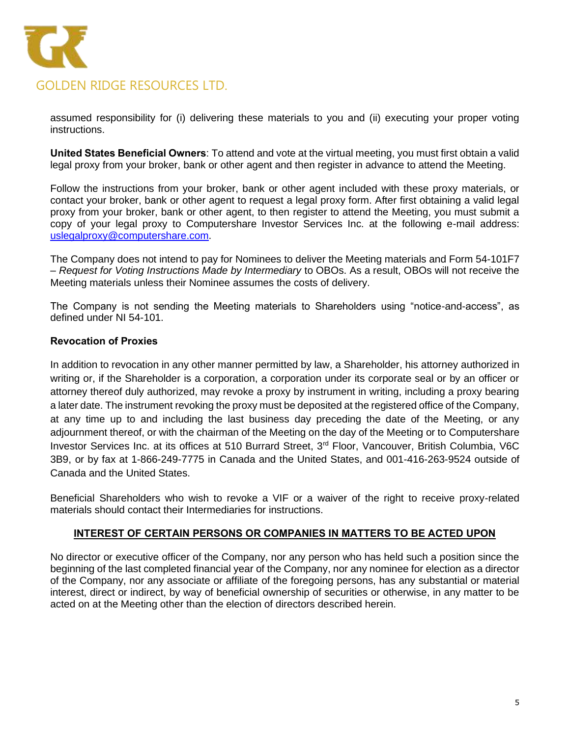

assumed responsibility for (i) delivering these materials to you and (ii) executing your proper voting instructions.

**United States Beneficial Owners**: To attend and vote at the virtual meeting, you must first obtain a valid legal proxy from your broker, bank or other agent and then register in advance to attend the Meeting.

Follow the instructions from your broker, bank or other agent included with these proxy materials, or contact your broker, bank or other agent to request a legal proxy form. After first obtaining a valid legal proxy from your broker, bank or other agent, to then register to attend the Meeting, you must submit a copy of your legal proxy to Computershare Investor Services Inc. at the following e-mail address: [uslegalproxy@computershare.com.](mailto:uslegalproxy@computershare.com)

The Company does not intend to pay for Nominees to deliver the Meeting materials and Form 54-101F7 – *Request for Voting Instructions Made by Intermediary* to OBOs. As a result, OBOs will not receive the Meeting materials unless their Nominee assumes the costs of delivery.

The Company is not sending the Meeting materials to Shareholders using "notice-and-access", as defined under NI 54-101.

#### **Revocation of Proxies**

In addition to revocation in any other manner permitted by law, a Shareholder, his attorney authorized in writing or, if the Shareholder is a corporation, a corporation under its corporate seal or by an officer or attorney thereof duly authorized, may revoke a proxy by instrument in writing, including a proxy bearing a later date. The instrument revoking the proxy must be deposited at the registered office of the Company, at any time up to and including the last business day preceding the date of the Meeting, or any adjournment thereof, or with the chairman of the Meeting on the day of the Meeting or to Computershare Investor Services Inc. at its offices at 510 Burrard Street, 3<sup>rd</sup> Floor, Vancouver, British Columbia, V6C 3B9, or by fax at 1-866-249-7775 in Canada and the United States, and 001-416-263-9524 outside of Canada and the United States.

Beneficial Shareholders who wish to revoke a VIF or a waiver of the right to receive proxy-related materials should contact their Intermediaries for instructions.

#### **INTEREST OF CERTAIN PERSONS OR COMPANIES IN MATTERS TO BE ACTED UPON**

No director or executive officer of the Company, nor any person who has held such a position since the beginning of the last completed financial year of the Company, nor any nominee for election as a director of the Company, nor any associate or affiliate of the foregoing persons, has any substantial or material interest, direct or indirect, by way of beneficial ownership of securities or otherwise, in any matter to be acted on at the Meeting other than the election of directors described herein.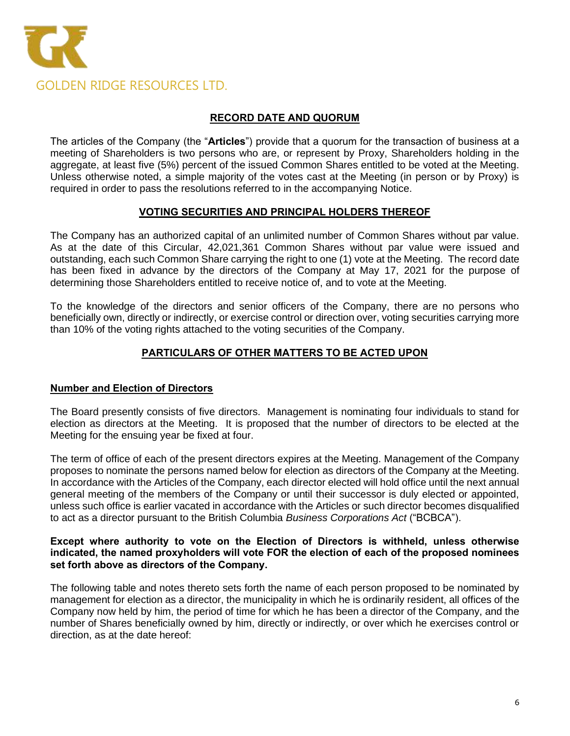

# **RECORD DATE AND QUORUM**

The articles of the Company (the "**Articles**") provide that a quorum for the transaction of business at a meeting of Shareholders is two persons who are, or represent by Proxy, Shareholders holding in the aggregate, at least five (5%) percent of the issued Common Shares entitled to be voted at the Meeting. Unless otherwise noted, a simple majority of the votes cast at the Meeting (in person or by Proxy) is required in order to pass the resolutions referred to in the accompanying Notice.

# **VOTING SECURITIES AND PRINCIPAL HOLDERS THEREOF**

The Company has an authorized capital of an unlimited number of Common Shares without par value. As at the date of this Circular, 42,021,361 Common Shares without par value were issued and outstanding, each such Common Share carrying the right to one (1) vote at the Meeting. The record date has been fixed in advance by the directors of the Company at May 17, 2021 for the purpose of determining those Shareholders entitled to receive notice of, and to vote at the Meeting.

To the knowledge of the directors and senior officers of the Company, there are no persons who beneficially own, directly or indirectly, or exercise control or direction over, voting securities carrying more than 10% of the voting rights attached to the voting securities of the Company.

# **PARTICULARS OF OTHER MATTERS TO BE ACTED UPON**

# **Number and Election of Directors**

The Board presently consists of five directors. Management is nominating four individuals to stand for election as directors at the Meeting. It is proposed that the number of directors to be elected at the Meeting for the ensuing year be fixed at four.

The term of office of each of the present directors expires at the Meeting. Management of the Company proposes to nominate the persons named below for election as directors of the Company at the Meeting. In accordance with the Articles of the Company, each director elected will hold office until the next annual general meeting of the members of the Company or until their successor is duly elected or appointed, unless such office is earlier vacated in accordance with the Articles or such director becomes disqualified to act as a director pursuant to the British Columbia *Business Corporations Act* ("BCBCA").

#### **Except where authority to vote on the Election of Directors is withheld, unless otherwise indicated, the named proxyholders will vote FOR the election of each of the proposed nominees set forth above as directors of the Company.**

The following table and notes thereto sets forth the name of each person proposed to be nominated by management for election as a director, the municipality in which he is ordinarily resident, all offices of the Company now held by him, the period of time for which he has been a director of the Company, and the number of Shares beneficially owned by him, directly or indirectly, or over which he exercises control or direction, as at the date hereof: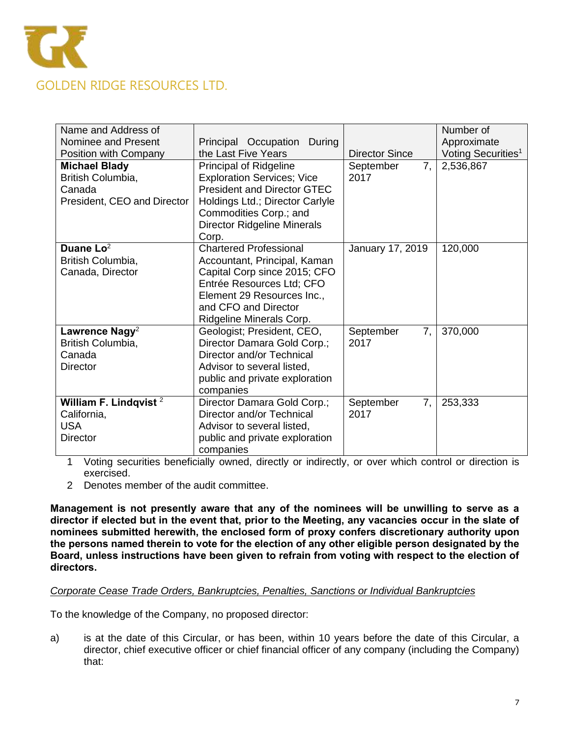

| Name and Address of         |                                    |                       | Number of                      |
|-----------------------------|------------------------------------|-----------------------|--------------------------------|
| Nominee and Present         | Principal Occupation<br>During     |                       | Approximate                    |
| Position with Company       | the Last Five Years                | <b>Director Since</b> | Voting Securities <sup>1</sup> |
| <b>Michael Blady</b>        | Principal of Ridgeline             | September<br>7,       | 2,536,867                      |
| British Columbia,           | <b>Exploration Services; Vice</b>  | 2017                  |                                |
| Canada                      | <b>President and Director GTEC</b> |                       |                                |
| President, CEO and Director | Holdings Ltd.; Director Carlyle    |                       |                                |
|                             | Commodities Corp.; and             |                       |                                |
|                             | <b>Director Ridgeline Minerals</b> |                       |                                |
|                             | Corp.                              |                       |                                |
| Duane $Lo2$                 | <b>Chartered Professional</b>      | January 17, 2019      | 120,000                        |
| British Columbia,           | Accountant, Principal, Kaman       |                       |                                |
| Canada, Director            | Capital Corp since 2015; CFO       |                       |                                |
|                             | Entrée Resources Ltd; CFO          |                       |                                |
|                             | Element 29 Resources Inc.,         |                       |                                |
|                             | and CFO and Director               |                       |                                |
|                             | Ridgeline Minerals Corp.           |                       |                                |
| Lawrence Nagy <sup>2</sup>  | Geologist; President, CEO,         | 7,<br>September       | 370,000                        |
| British Columbia,           | Director Damara Gold Corp.;        | 2017                  |                                |
| Canada                      | Director and/or Technical          |                       |                                |
| <b>Director</b>             | Advisor to several listed,         |                       |                                |
|                             | public and private exploration     |                       |                                |
|                             | companies                          |                       |                                |
| William F. Lindqvist $2$    | Director Damara Gold Corp.;        | 7,<br>September       | 253,333                        |
| California,                 | Director and/or Technical          | 2017                  |                                |
| <b>USA</b>                  | Advisor to several listed,         |                       |                                |
| <b>Director</b>             | public and private exploration     |                       |                                |
|                             | companies                          |                       |                                |

1 Voting securities beneficially owned, directly or indirectly, or over which control or direction is exercised.

2 Denotes member of the audit committee.

**Management is not presently aware that any of the nominees will be unwilling to serve as a director if elected but in the event that, prior to the Meeting, any vacancies occur in the slate of nominees submitted herewith, the enclosed form of proxy confers discretionary authority upon the persons named therein to vote for the election of any other eligible person designated by the Board, unless instructions have been given to refrain from voting with respect to the election of directors.** 

#### *Corporate Cease Trade Orders, Bankruptcies, Penalties, Sanctions or Individual Bankruptcies*

To the knowledge of the Company, no proposed director:

a) is at the date of this Circular, or has been, within 10 years before the date of this Circular, a director, chief executive officer or chief financial officer of any company (including the Company) that: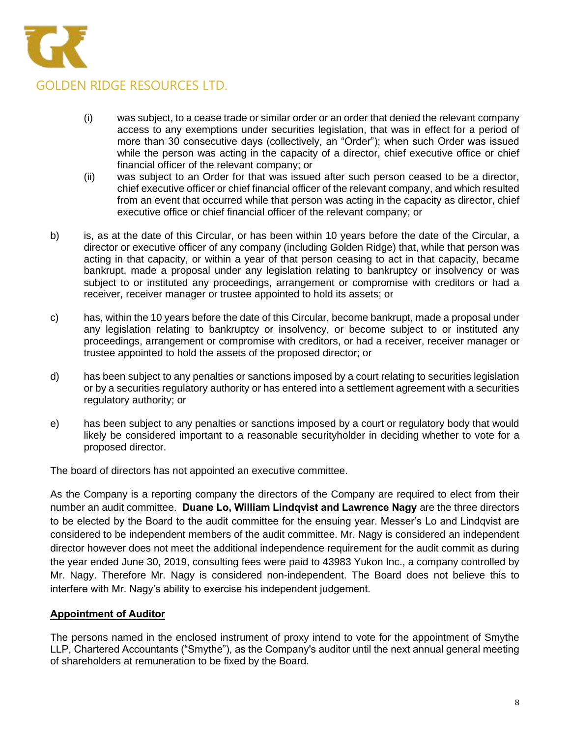

- (i) was subject, to a cease trade or similar order or an order that denied the relevant company access to any exemptions under securities legislation, that was in effect for a period of more than 30 consecutive days (collectively, an "Order"); when such Order was issued while the person was acting in the capacity of a director, chief executive office or chief financial officer of the relevant company; or
- (ii) was subject to an Order for that was issued after such person ceased to be a director, chief executive officer or chief financial officer of the relevant company, and which resulted from an event that occurred while that person was acting in the capacity as director, chief executive office or chief financial officer of the relevant company; or
- b) is, as at the date of this Circular, or has been within 10 years before the date of the Circular, a director or executive officer of any company (including Golden Ridge) that, while that person was acting in that capacity, or within a year of that person ceasing to act in that capacity, became bankrupt, made a proposal under any legislation relating to bankruptcy or insolvency or was subject to or instituted any proceedings, arrangement or compromise with creditors or had a receiver, receiver manager or trustee appointed to hold its assets; or
- c) has, within the 10 years before the date of this Circular, become bankrupt, made a proposal under any legislation relating to bankruptcy or insolvency, or become subject to or instituted any proceedings, arrangement or compromise with creditors, or had a receiver, receiver manager or trustee appointed to hold the assets of the proposed director; or
- d) has been subject to any penalties or sanctions imposed by a court relating to securities legislation or by a securities regulatory authority or has entered into a settlement agreement with a securities regulatory authority; or
- e) has been subject to any penalties or sanctions imposed by a court or regulatory body that would likely be considered important to a reasonable securityholder in deciding whether to vote for a proposed director.

The board of directors has not appointed an executive committee.

As the Company is a reporting company the directors of the Company are required to elect from their number an audit committee. **Duane Lo, William Lindqvist and Lawrence Nagy** are the three directors to be elected by the Board to the audit committee for the ensuing year. Messer's Lo and Lindqvist are considered to be independent members of the audit committee. Mr. Nagy is considered an independent director however does not meet the additional independence requirement for the audit commit as during the year ended June 30, 2019, consulting fees were paid to 43983 Yukon Inc., a company controlled by Mr. Nagy. Therefore Mr. Nagy is considered non-independent. The Board does not believe this to interfere with Mr. Nagy's ability to exercise his independent judgement.

# **Appointment of Auditor**

The persons named in the enclosed instrument of proxy intend to vote for the appointment of Smythe LLP, Chartered Accountants ("Smythe"), as the Company's auditor until the next annual general meeting of shareholders at remuneration to be fixed by the Board.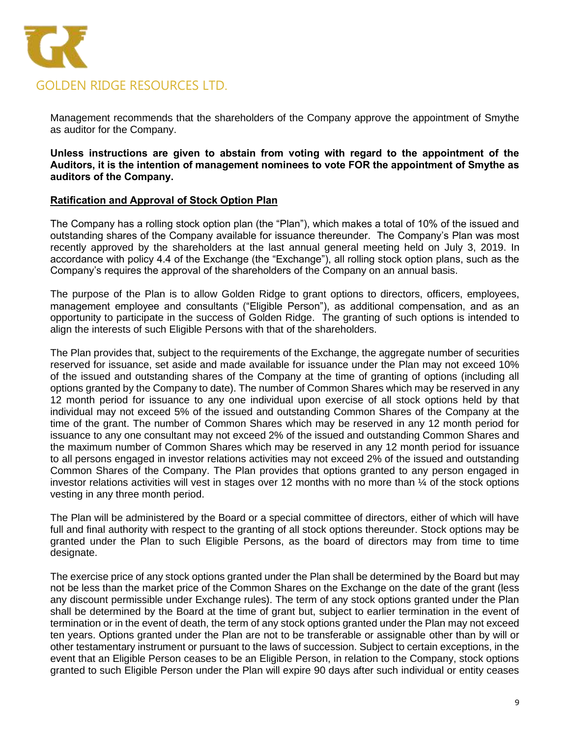

Management recommends that the shareholders of the Company approve the appointment of Smythe as auditor for the Company.

**Unless instructions are given to abstain from voting with regard to the appointment of the Auditors, it is the intention of management nominees to vote FOR the appointment of Smythe as auditors of the Company.** 

#### **Ratification and Approval of Stock Option Plan**

The Company has a rolling stock option plan (the "Plan"), which makes a total of 10% of the issued and outstanding shares of the Company available for issuance thereunder. The Company's Plan was most recently approved by the shareholders at the last annual general meeting held on July 3, 2019. In accordance with policy 4.4 of the Exchange (the "Exchange"), all rolling stock option plans, such as the Company's requires the approval of the shareholders of the Company on an annual basis.

The purpose of the Plan is to allow Golden Ridge to grant options to directors, officers, employees, management employee and consultants ("Eligible Person"), as additional compensation, and as an opportunity to participate in the success of Golden Ridge. The granting of such options is intended to align the interests of such Eligible Persons with that of the shareholders.

The Plan provides that, subject to the requirements of the Exchange, the aggregate number of securities reserved for issuance, set aside and made available for issuance under the Plan may not exceed 10% of the issued and outstanding shares of the Company at the time of granting of options (including all options granted by the Company to date). The number of Common Shares which may be reserved in any 12 month period for issuance to any one individual upon exercise of all stock options held by that individual may not exceed 5% of the issued and outstanding Common Shares of the Company at the time of the grant. The number of Common Shares which may be reserved in any 12 month period for issuance to any one consultant may not exceed 2% of the issued and outstanding Common Shares and the maximum number of Common Shares which may be reserved in any 12 month period for issuance to all persons engaged in investor relations activities may not exceed 2% of the issued and outstanding Common Shares of the Company. The Plan provides that options granted to any person engaged in investor relations activities will vest in stages over 12 months with no more than ¼ of the stock options vesting in any three month period.

The Plan will be administered by the Board or a special committee of directors, either of which will have full and final authority with respect to the granting of all stock options thereunder. Stock options may be granted under the Plan to such Eligible Persons, as the board of directors may from time to time designate.

The exercise price of any stock options granted under the Plan shall be determined by the Board but may not be less than the market price of the Common Shares on the Exchange on the date of the grant (less any discount permissible under Exchange rules). The term of any stock options granted under the Plan shall be determined by the Board at the time of grant but, subject to earlier termination in the event of termination or in the event of death, the term of any stock options granted under the Plan may not exceed ten years. Options granted under the Plan are not to be transferable or assignable other than by will or other testamentary instrument or pursuant to the laws of succession. Subject to certain exceptions, in the event that an Eligible Person ceases to be an Eligible Person, in relation to the Company, stock options granted to such Eligible Person under the Plan will expire 90 days after such individual or entity ceases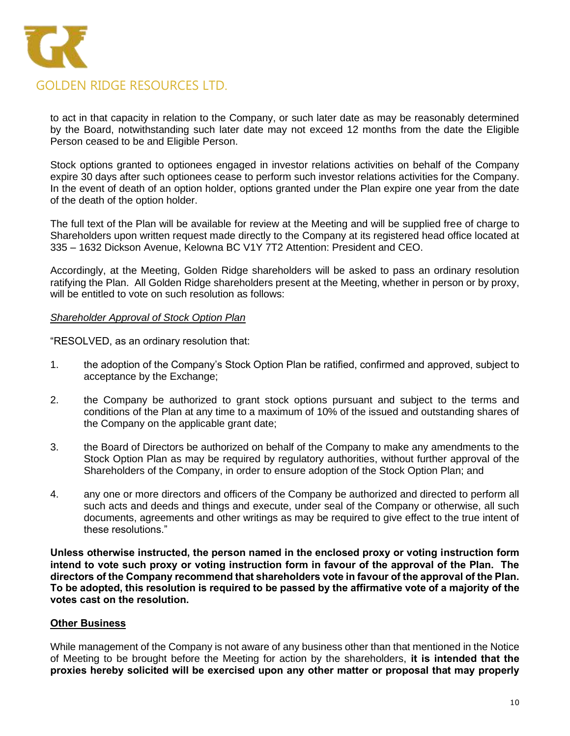

to act in that capacity in relation to the Company, or such later date as may be reasonably determined by the Board, notwithstanding such later date may not exceed 12 months from the date the Eligible Person ceased to be and Eligible Person.

Stock options granted to optionees engaged in investor relations activities on behalf of the Company expire 30 days after such optionees cease to perform such investor relations activities for the Company. In the event of death of an option holder, options granted under the Plan expire one year from the date of the death of the option holder.

The full text of the Plan will be available for review at the Meeting and will be supplied free of charge to Shareholders upon written request made directly to the Company at its registered head office located at 335 – 1632 Dickson Avenue, Kelowna BC V1Y 7T2 Attention: President and CEO.

Accordingly, at the Meeting, Golden Ridge shareholders will be asked to pass an ordinary resolution ratifying the Plan. All Golden Ridge shareholders present at the Meeting, whether in person or by proxy, will be entitled to vote on such resolution as follows:

#### *Shareholder Approval of Stock Option Plan*

"RESOLVED, as an ordinary resolution that:

- 1. the adoption of the Company's Stock Option Plan be ratified, confirmed and approved, subject to acceptance by the Exchange;
- 2. the Company be authorized to grant stock options pursuant and subject to the terms and conditions of the Plan at any time to a maximum of 10% of the issued and outstanding shares of the Company on the applicable grant date;
- 3. the Board of Directors be authorized on behalf of the Company to make any amendments to the Stock Option Plan as may be required by regulatory authorities, without further approval of the Shareholders of the Company, in order to ensure adoption of the Stock Option Plan; and
- 4. any one or more directors and officers of the Company be authorized and directed to perform all such acts and deeds and things and execute, under seal of the Company or otherwise, all such documents, agreements and other writings as may be required to give effect to the true intent of these resolutions."

**Unless otherwise instructed, the person named in the enclosed proxy or voting instruction form intend to vote such proxy or voting instruction form in favour of the approval of the Plan. The directors of the Company recommend that shareholders vote in favour of the approval of the Plan. To be adopted, this resolution is required to be passed by the affirmative vote of a majority of the votes cast on the resolution.**

# **Other Business**

While management of the Company is not aware of any business other than that mentioned in the Notice of Meeting to be brought before the Meeting for action by the shareholders, **it is intended that the proxies hereby solicited will be exercised upon any other matter or proposal that may properly**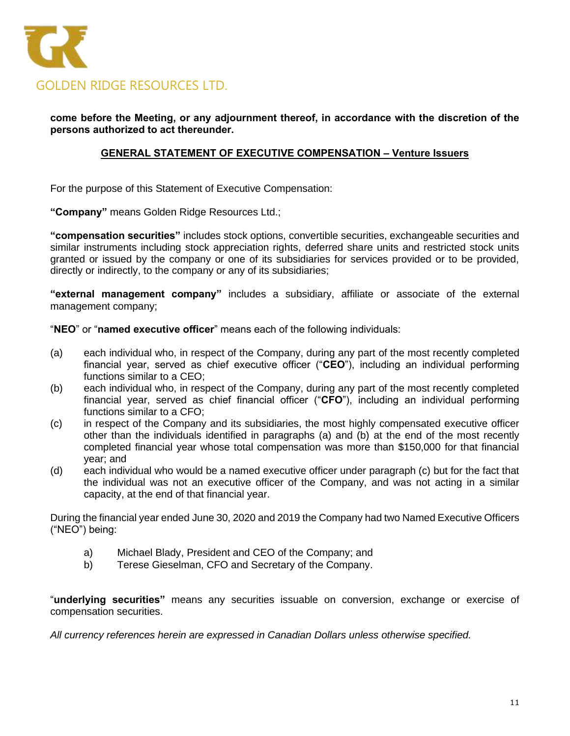

**come before the Meeting, or any adjournment thereof, in accordance with the discretion of the persons authorized to act thereunder.**

# **GENERAL STATEMENT OF EXECUTIVE COMPENSATION – Venture Issuers**

For the purpose of this Statement of Executive Compensation:

**"Company"** means Golden Ridge Resources Ltd.;

**"compensation securities"** includes stock options, convertible securities, exchangeable securities and similar instruments including stock appreciation rights, deferred share units and restricted stock units granted or issued by the company or one of its subsidiaries for services provided or to be provided, directly or indirectly, to the company or any of its subsidiaries;

**"external management company"** includes a subsidiary, affiliate or associate of the external management company;

"**NEO**" or "**named executive officer**" means each of the following individuals:

- (a) each individual who, in respect of the Company, during any part of the most recently completed financial year, served as chief executive officer ("**CEO**"), including an individual performing functions similar to a CEO;
- (b) each individual who, in respect of the Company, during any part of the most recently completed financial year, served as chief financial officer ("**CFO**"), including an individual performing functions similar to a CFO;
- (c) in respect of the Company and its subsidiaries, the most highly compensated executive officer other than the individuals identified in paragraphs (a) and (b) at the end of the most recently completed financial year whose total compensation was more than \$150,000 for that financial year; and
- (d) each individual who would be a named executive officer under paragraph (c) but for the fact that the individual was not an executive officer of the Company, and was not acting in a similar capacity, at the end of that financial year.

During the financial year ended June 30, 2020 and 2019 the Company had two Named Executive Officers ("NEO") being:

- a) Michael Blady, President and CEO of the Company; and
- b) Terese Gieselman, CFO and Secretary of the Company.

"**underlying securities"** means any securities issuable on conversion, exchange or exercise of compensation securities.

*All currency references herein are expressed in Canadian Dollars unless otherwise specified.*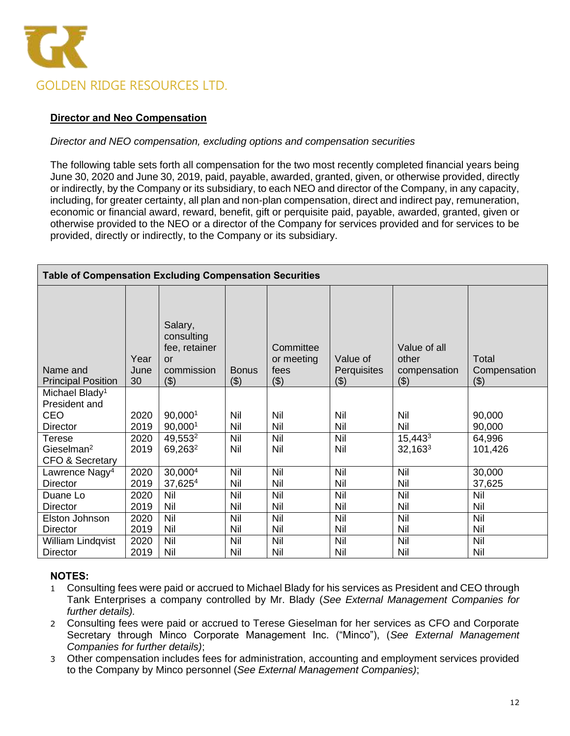

# **Director and Neo Compensation**

# *Director and NEO compensation, excluding options and compensation securities*

The following table sets forth all compensation for the two most recently completed financial years being June 30, 2020 and June 30, 2019, paid, payable, awarded, granted, given, or otherwise provided, directly or indirectly, by the Company or its subsidiary, to each NEO and director of the Company, in any capacity, including, for greater certainty, all plan and non-plan compensation, direct and indirect pay, remuneration, economic or financial award, reward, benefit, gift or perquisite paid, payable, awarded, granted, given or otherwise provided to the NEO or a director of the Company for services provided and for services to be provided, directly or indirectly, to the Company or its subsidiary.

| <b>Table of Compensation Excluding Compensation Securities</b> |                    |                                                                   |                        |                                          |                                |                                              |                              |
|----------------------------------------------------------------|--------------------|-------------------------------------------------------------------|------------------------|------------------------------------------|--------------------------------|----------------------------------------------|------------------------------|
| Name and<br><b>Principal Position</b>                          | Year<br>June<br>30 | Salary,<br>consulting<br>fee, retainer<br>or<br>commission<br>(3) | <b>Bonus</b><br>( \$ ) | Committee<br>or meeting<br>fees<br>( \$) | Value of<br>Perquisites<br>(3) | Value of all<br>other<br>compensation<br>(3) | Total<br>Compensation<br>(3) |
| Michael Blady <sup>1</sup><br>President and                    |                    |                                                                   |                        |                                          |                                |                                              |                              |
| CEO                                                            | 2020               | 90,0001                                                           | Nil                    | Nil                                      | Nil                            | Nil                                          | 90,000                       |
| Director                                                       | 2019               | 90,0001                                                           | Nil                    | Nil                                      | Nil                            | Nil                                          | 90,000                       |
| Terese                                                         | 2020               | 49,553 <sup>2</sup>                                               | Nil                    | Nil                                      | Nil                            | 15,4433                                      | 64,996                       |
| Gieselman <sup>2</sup>                                         | 2019               | 69,263 <sup>2</sup>                                               | Nil                    | Nil                                      | Nil                            | $32,163^3$                                   | 101,426                      |
| <b>CFO &amp; Secretary</b>                                     |                    |                                                                   |                        |                                          |                                |                                              |                              |
| Lawrence Nagy <sup>4</sup>                                     | 2020               | 30,0004                                                           | Nil                    | Nil                                      | Nil                            | Nil                                          | 30,000                       |
| <b>Director</b>                                                | 2019               | 37,6254                                                           | Nil                    | Nil                                      | Nil                            | Nil                                          | 37,625                       |
| Duane Lo                                                       | 2020               | Nil                                                               | Nil                    | Nil                                      | Nil                            | Nil                                          | Nil                          |
| <b>Director</b>                                                | 2019               | Nil                                                               | Nil                    | Nil                                      | Nil                            | Nil                                          | Nil                          |
| Elston Johnson                                                 | 2020               | Nil                                                               | Nil                    | Nil                                      | Nil                            | Nil                                          | Nil                          |
| Director                                                       | 2019               | Nil                                                               | Nil                    | Nil                                      | Nil                            | Nil                                          | Nil                          |
| William Lindqvist                                              | 2020               | Nil                                                               | Nil                    | Nil                                      | Nil                            | Nil                                          | Nil                          |
| Director                                                       | 2019               | Nil                                                               | Nil                    | Nil                                      | Nil                            | Nil                                          | Nil                          |

# **NOTES:**

- 1 Consulting fees were paid or accrued to Michael Blady for his services as President and CEO through Tank Enterprises a company controlled by Mr. Blady (*See External Management Companies for further details).*
- 2 Consulting fees were paid or accrued to Terese Gieselman for her services as CFO and Corporate Secretary through Minco Corporate Management Inc. ("Minco"), (*See External Management Companies for further details)*;
- 3 Other compensation includes fees for administration, accounting and employment services provided to the Company by Minco personnel (*See External Management Companies)*;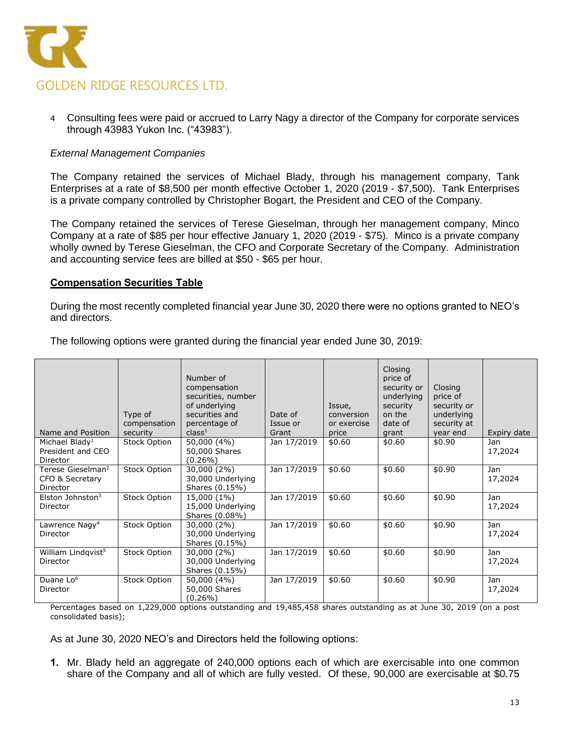

4 Consulting fees were paid or accrued to Larry Nagy a director of the Company for corporate services through 43983 Yukon Inc. ("43983").

# *External Management Companies*

The Company retained the services of Michael Blady, through his management company, Tank Enterprises at a rate of \$8,500 per month effective October 1, 2020 (2019 - \$7,500). Tank Enterprises is a private company controlled by Christopher Bogart, the President and CEO of the Company.

The Company retained the services of Terese Gieselman, through her management company, Minco Company at a rate of \$85 per hour effective January 1, 2020 (2019 - \$75). Minco is a private company wholly owned by Terese Gieselman, the CFO and Corporate Secretary of the Company. Administration and accounting service fees are billed at \$50 - \$65 per hour.

#### **Compensation Securities Table**

During the most recently completed financial year June 30, 2020 there were no options granted to NEO's and directors.

| Name and Position                                            | Type of<br>compensation<br>security | Number of<br>compensation<br>securities, number<br>of underlying<br>securities and<br>percentage of<br>class <sup>1</sup> | Date of<br>Issue or<br>Grant | Issue,<br>conversion<br>or exercise<br>price | Closing<br>price of<br>security or<br>underlying<br>security<br>on the<br>date of<br>grant | Closing<br>price of<br>security or<br>underlying<br>security at<br>year end | Expiry date    |
|--------------------------------------------------------------|-------------------------------------|---------------------------------------------------------------------------------------------------------------------------|------------------------------|----------------------------------------------|--------------------------------------------------------------------------------------------|-----------------------------------------------------------------------------|----------------|
| Michael Blady <sup>1</sup><br>President and CEO<br>Director  | Stock Option                        | 50,000 (4%)<br>50,000 Shares<br>(0.26%)                                                                                   | Jan 17/2019                  | \$0.60                                       | \$0.60                                                                                     | \$0.90                                                                      | Jan<br>17,2024 |
| Terese Gieselman <sup>2</sup><br>CFO & Secretary<br>Director | Stock Option                        | 30,000 (2%)<br>30,000 Underlying<br>Shares (0.15%)                                                                        | Jan 17/2019                  | \$0.60                                       | \$0.60                                                                                     | \$0.90                                                                      | Jan<br>17,2024 |
| Elston Johnston $3$<br>Director                              | Stock Option                        | 15,000 (1%)<br>15,000 Underlying<br>Shares (0.08%)                                                                        | Jan 17/2019                  | \$0.60                                       | \$0.60                                                                                     | \$0.90                                                                      | Jan<br>17,2024 |
| Lawrence Nagy <sup>4</sup><br>Director                       | Stock Option                        | 30,000 (2%)<br>30,000 Underlying<br>Shares (0.15%)                                                                        | Jan 17/2019                  | \$0.60                                       | \$0.60                                                                                     | \$0.90                                                                      | Jan<br>17,2024 |
| William Lindqvist <sup>5</sup><br>Director                   | <b>Stock Option</b>                 | 30,000 (2%)<br>30,000 Underlying<br>Shares (0.15%)                                                                        | Jan 17/2019                  | \$0.60                                       | \$0.60                                                                                     | \$0.90                                                                      | Jan<br>17,2024 |
| Duane Lo <sup>6</sup><br>Director                            | Stock Option                        | 50,000 (4%)<br>50,000 Shares<br>(0.26%)                                                                                   | Jan 17/2019                  | \$0.60                                       | \$0.60                                                                                     | \$0.90                                                                      | Jan<br>17,2024 |

The following options were granted during the financial year ended June 30, 2019:

Percentages based on 1,229,000 options outstanding and 19,485,458 shares outstanding as at June 30, 2019 (on a post consolidated basis);

As at June 30, 2020 NEO's and Directors held the following options:

**1.** Mr. Blady held an aggregate of 240,000 options each of which are exercisable into one common share of the Company and all of which are fully vested. Of these, 90,000 are exercisable at \$0.75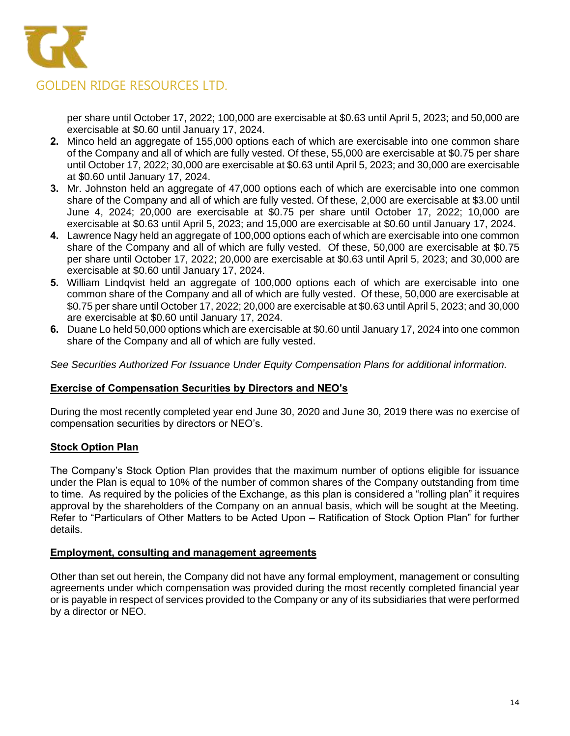

per share until October 17, 2022; 100,000 are exercisable at \$0.63 until April 5, 2023; and 50,000 are exercisable at \$0.60 until January 17, 2024.

- **2.** Minco held an aggregate of 155,000 options each of which are exercisable into one common share of the Company and all of which are fully vested. Of these, 55,000 are exercisable at \$0.75 per share until October 17, 2022; 30,000 are exercisable at \$0.63 until April 5, 2023; and 30,000 are exercisable at \$0.60 until January 17, 2024.
- **3.** Mr. Johnston held an aggregate of 47,000 options each of which are exercisable into one common share of the Company and all of which are fully vested. Of these, 2,000 are exercisable at \$3.00 until June 4, 2024; 20,000 are exercisable at \$0.75 per share until October 17, 2022; 10,000 are exercisable at \$0.63 until April 5, 2023; and 15,000 are exercisable at \$0.60 until January 17, 2024.
- **4.** Lawrence Nagy held an aggregate of 100,000 options each of which are exercisable into one common share of the Company and all of which are fully vested. Of these, 50,000 are exercisable at \$0.75 per share until October 17, 2022; 20,000 are exercisable at \$0.63 until April 5, 2023; and 30,000 are exercisable at \$0.60 until January 17, 2024.
- **5.** William Lindqvist held an aggregate of 100,000 options each of which are exercisable into one common share of the Company and all of which are fully vested. Of these, 50,000 are exercisable at \$0.75 per share until October 17, 2022; 20,000 are exercisable at \$0.63 until April 5, 2023; and 30,000 are exercisable at \$0.60 until January 17, 2024.
- **6.** Duane Lo held 50,000 options which are exercisable at \$0.60 until January 17, 2024 into one common share of the Company and all of which are fully vested.

*See Securities Authorized For Issuance Under Equity Compensation Plans for additional information.*

# **Exercise of Compensation Securities by Directors and NEO's**

During the most recently completed year end June 30, 2020 and June 30, 2019 there was no exercise of compensation securities by directors or NEO's.

# **Stock Option Plan**

The Company's Stock Option Plan provides that the maximum number of options eligible for issuance under the Plan is equal to 10% of the number of common shares of the Company outstanding from time to time. As required by the policies of the Exchange, as this plan is considered a "rolling plan" it requires approval by the shareholders of the Company on an annual basis, which will be sought at the Meeting. Refer to "Particulars of Other Matters to be Acted Upon – Ratification of Stock Option Plan" for further details.

# **Employment, consulting and management agreements**

Other than set out herein, the Company did not have any formal employment, management or consulting agreements under which compensation was provided during the most recently completed financial year or is payable in respect of services provided to the Company or any of its subsidiaries that were performed by a director or NEO.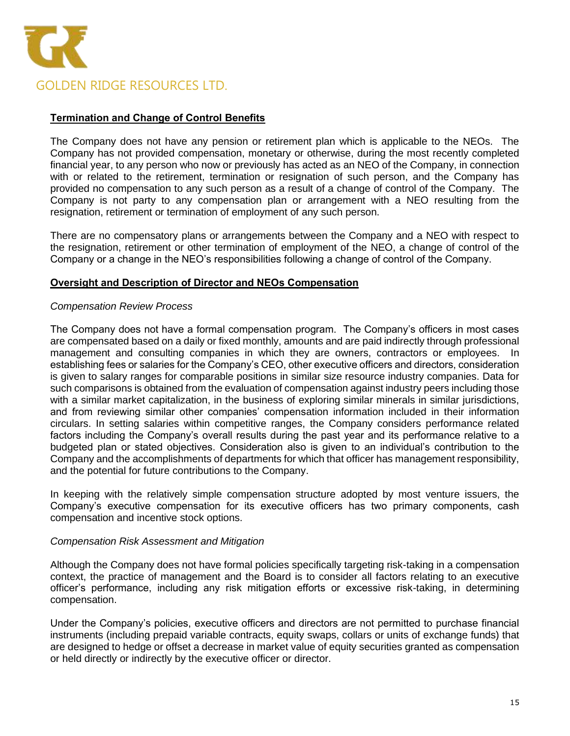

# **Termination and Change of Control Benefits**

The Company does not have any pension or retirement plan which is applicable to the NEOs. The Company has not provided compensation, monetary or otherwise, during the most recently completed financial year, to any person who now or previously has acted as an NEO of the Company, in connection with or related to the retirement, termination or resignation of such person, and the Company has provided no compensation to any such person as a result of a change of control of the Company. The Company is not party to any compensation plan or arrangement with a NEO resulting from the resignation, retirement or termination of employment of any such person.

There are no compensatory plans or arrangements between the Company and a NEO with respect to the resignation, retirement or other termination of employment of the NEO, a change of control of the Company or a change in the NEO's responsibilities following a change of control of the Company.

#### **Oversight and Description of Director and NEOs Compensation**

#### *Compensation Review Process*

The Company does not have a formal compensation program. The Company's officers in most cases are compensated based on a daily or fixed monthly, amounts and are paid indirectly through professional management and consulting companies in which they are owners, contractors or employees. In establishing fees or salaries for the Company's CEO, other executive officers and directors, consideration is given to salary ranges for comparable positions in similar size resource industry companies. Data for such comparisons is obtained from the evaluation of compensation against industry peers including those with a similar market capitalization, in the business of exploring similar minerals in similar jurisdictions, and from reviewing similar other companies' compensation information included in their information circulars. In setting salaries within competitive ranges, the Company considers performance related factors including the Company's overall results during the past year and its performance relative to a budgeted plan or stated objectives. Consideration also is given to an individual's contribution to the Company and the accomplishments of departments for which that officer has management responsibility, and the potential for future contributions to the Company.

In keeping with the relatively simple compensation structure adopted by most venture issuers, the Company's executive compensation for its executive officers has two primary components, cash compensation and incentive stock options.

#### *Compensation Risk Assessment and Mitigation*

Although the Company does not have formal policies specifically targeting risk-taking in a compensation context, the practice of management and the Board is to consider all factors relating to an executive officer's performance, including any risk mitigation efforts or excessive risk-taking, in determining compensation.

Under the Company's policies, executive officers and directors are not permitted to purchase financial instruments (including prepaid variable contracts, equity swaps, collars or units of exchange funds) that are designed to hedge or offset a decrease in market value of equity securities granted as compensation or held directly or indirectly by the executive officer or director.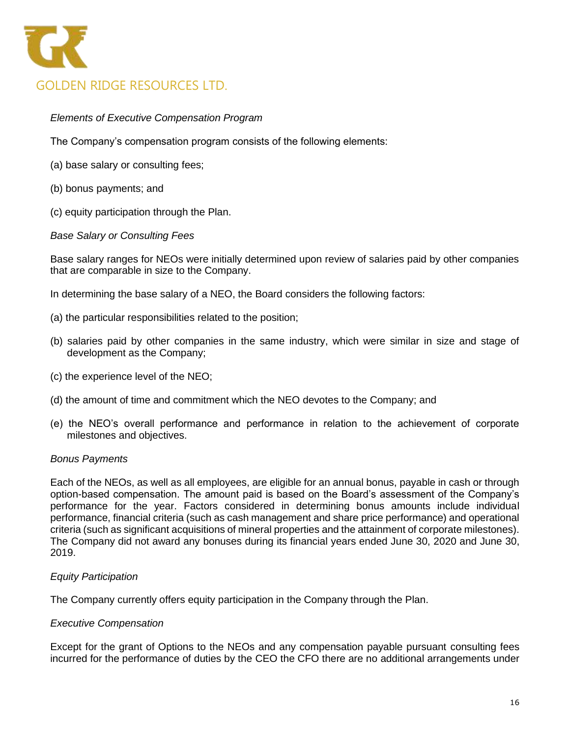

# *Elements of Executive Compensation Program*

The Company's compensation program consists of the following elements:

- (a) base salary or consulting fees;
- (b) bonus payments; and
- (c) equity participation through the Plan.

#### *Base Salary or Consulting Fees*

Base salary ranges for NEOs were initially determined upon review of salaries paid by other companies that are comparable in size to the Company.

In determining the base salary of a NEO, the Board considers the following factors:

- (a) the particular responsibilities related to the position;
- (b) salaries paid by other companies in the same industry, which were similar in size and stage of development as the Company;
- (c) the experience level of the NEO;
- (d) the amount of time and commitment which the NEO devotes to the Company; and
- (e) the NEO's overall performance and performance in relation to the achievement of corporate milestones and objectives.

#### *Bonus Payments*

Each of the NEOs, as well as all employees, are eligible for an annual bonus, payable in cash or through option-based compensation. The amount paid is based on the Board's assessment of the Company's performance for the year. Factors considered in determining bonus amounts include individual performance, financial criteria (such as cash management and share price performance) and operational criteria (such as significant acquisitions of mineral properties and the attainment of corporate milestones). The Company did not award any bonuses during its financial years ended June 30, 2020 and June 30, 2019.

#### *Equity Participation*

The Company currently offers equity participation in the Company through the Plan.

#### *Executive Compensation*

Except for the grant of Options to the NEOs and any compensation payable pursuant consulting fees incurred for the performance of duties by the CEO the CFO there are no additional arrangements under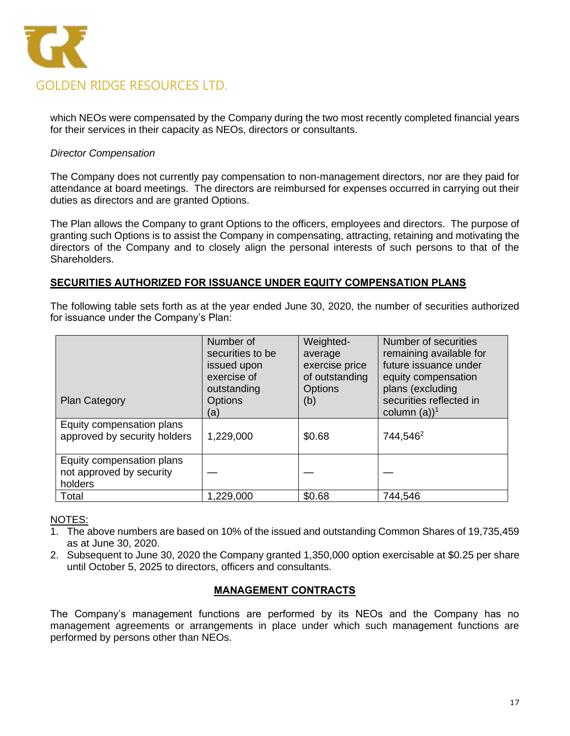

which NEOs were compensated by the Company during the two most recently completed financial years for their services in their capacity as NEOs, directors or consultants.

# *Director Compensation*

The Company does not currently pay compensation to non-management directors, nor are they paid for attendance at board meetings. The directors are reimbursed for expenses occurred in carrying out their duties as directors and are granted Options.

The Plan allows the Company to grant Options to the officers, employees and directors. The purpose of granting such Options is to assist the Company in compensating, attracting, retaining and motivating the directors of the Company and to closely align the personal interests of such persons to that of the Shareholders.

#### **SECURITIES AUTHORIZED FOR ISSUANCE UNDER EQUITY COMPENSATION PLANS**

The following table sets forth as at the year ended June 30, 2020, the number of securities authorized for issuance under the Company's Plan:

| <b>Plan Category</b>                                             | Number of<br>securities to be<br>issued upon<br>exercise of<br>outstanding<br><b>Options</b><br>(a) | Weighted-<br>average<br>exercise price<br>of outstanding<br><b>Options</b><br>(b) | Number of securities<br>remaining available for<br>future issuance under<br>equity compensation<br>plans (excluding<br>securities reflected in<br>column $(a)$ <sup>1</sup> |
|------------------------------------------------------------------|-----------------------------------------------------------------------------------------------------|-----------------------------------------------------------------------------------|-----------------------------------------------------------------------------------------------------------------------------------------------------------------------------|
| Equity compensation plans<br>approved by security holders        | 1,229,000                                                                                           | \$0.68                                                                            | 744,546 <sup>2</sup>                                                                                                                                                        |
| Equity compensation plans<br>not approved by security<br>holders |                                                                                                     |                                                                                   |                                                                                                                                                                             |
| Total                                                            | 1,229,000                                                                                           | \$0.68                                                                            | 744,546                                                                                                                                                                     |

NOTES:

- 1. The above numbers are based on 10% of the issued and outstanding Common Shares of 19,735,459 as at June 30, 2020.
- 2. Subsequent to June 30, 2020 the Company granted 1,350,000 option exercisable at \$0.25 per share until October 5, 2025 to directors, officers and consultants.

# **MANAGEMENT CONTRACTS**

The Company's management functions are performed by its NEOs and the Company has no management agreements or arrangements in place under which such management functions are performed by persons other than NEOs.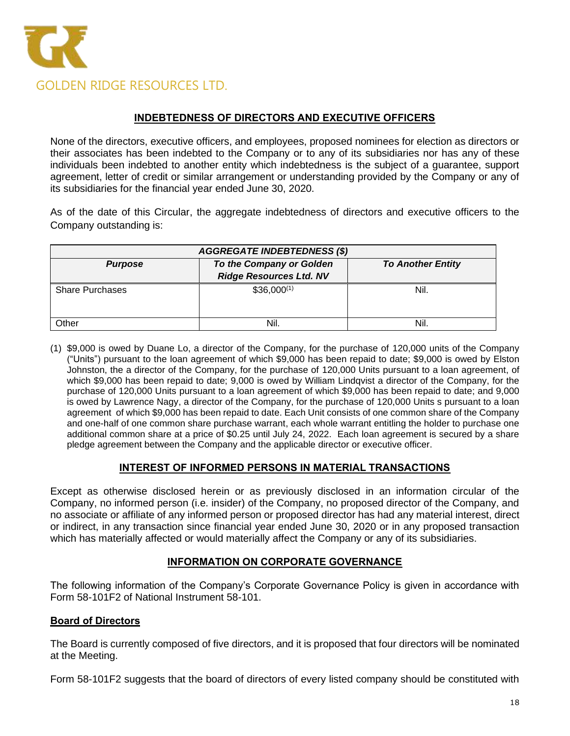

# **INDEBTEDNESS OF DIRECTORS AND EXECUTIVE OFFICERS**

None of the directors, executive officers, and employees, proposed nominees for election as directors or their associates has been indebted to the Company or to any of its subsidiaries nor has any of these individuals been indebted to another entity which indebtedness is the subject of a guarantee, support agreement, letter of credit or similar arrangement or understanding provided by the Company or any of its subsidiaries for the financial year ended June 30, 2020.

As of the date of this Circular, the aggregate indebtedness of directors and executive officers to the Company outstanding is:

| <b>AGGREGATE INDEBTEDNESS (\$)</b>                                                                       |                 |      |  |  |
|----------------------------------------------------------------------------------------------------------|-----------------|------|--|--|
| To the Company or Golden<br><b>To Another Entity</b><br><b>Purpose</b><br><b>Ridge Resources Ltd. NV</b> |                 |      |  |  |
| <b>Share Purchases</b>                                                                                   | $$36,000^{(1)}$ | Nil. |  |  |
| Other                                                                                                    | Nil.            | Nil. |  |  |

(1) \$9,000 is owed by Duane Lo, a director of the Company, for the purchase of 120,000 units of the Company ("Units") pursuant to the loan agreement of which \$9,000 has been repaid to date; \$9,000 is owed by Elston Johnston, the a director of the Company, for the purchase of 120,000 Units pursuant to a loan agreement, of which \$9,000 has been repaid to date; 9,000 is owed by William Lindqvist a director of the Company, for the purchase of 120,000 Units pursuant to a loan agreement of which \$9,000 has been repaid to date; and 9,000 is owed by Lawrence Nagy, a director of the Company, for the purchase of 120,000 Units s pursuant to a loan agreement of which \$9,000 has been repaid to date. Each Unit consists of one common share of the Company and one-half of one common share purchase warrant, each whole warrant entitling the holder to purchase one additional common share at a price of \$0.25 until July 24, 2022. Each loan agreement is secured by a share pledge agreement between the Company and the applicable director or executive officer.

# **INTEREST OF INFORMED PERSONS IN MATERIAL TRANSACTIONS**

Except as otherwise disclosed herein or as previously disclosed in an information circular of the Company, no informed person (i.e. insider) of the Company, no proposed director of the Company, and no associate or affiliate of any informed person or proposed director has had any material interest, direct or indirect, in any transaction since financial year ended June 30, 2020 or in any proposed transaction which has materially affected or would materially affect the Company or any of its subsidiaries.

# **INFORMATION ON CORPORATE GOVERNANCE**

The following information of the Company's Corporate Governance Policy is given in accordance with Form 58-101F2 of National Instrument 58-101.

# **Board of Directors**

The Board is currently composed of five directors, and it is proposed that four directors will be nominated at the Meeting.

Form 58-101F2 suggests that the board of directors of every listed company should be constituted with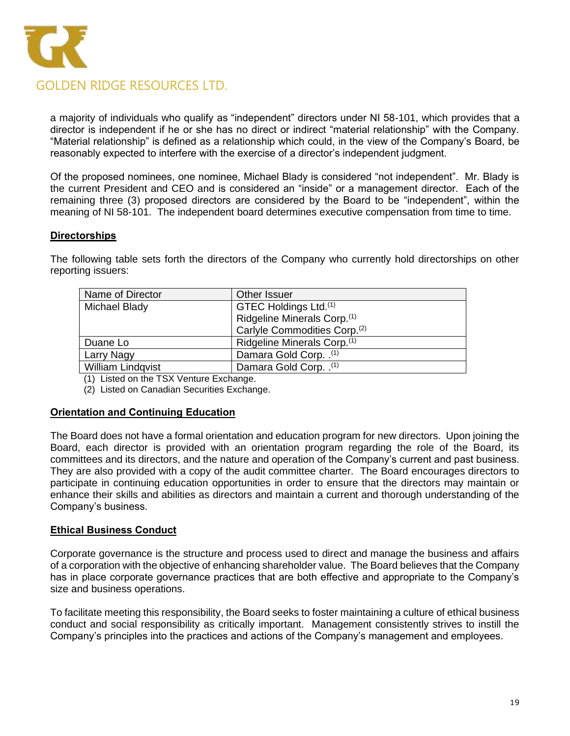

a majority of individuals who qualify as "independent" directors under NI 58-101, which provides that a director is independent if he or she has no direct or indirect "material relationship" with the Company. "Material relationship" is defined as a relationship which could, in the view of the Company's Board, be reasonably expected to interfere with the exercise of a director's independent judgment.

Of the proposed nominees, one nominee, Michael Blady is considered "not independent". Mr. Blady is the current President and CEO and is considered an "inside" or a management director. Each of the remaining three (3) proposed directors are considered by the Board to be "independent", within the meaning of NI 58-101. The independent board determines executive compensation from time to time.

# **Directorships**

The following table sets forth the directors of the Company who currently hold directorships on other reporting issuers:

| Name of Director         | Other Issuer                             |  |
|--------------------------|------------------------------------------|--|
| Michael Blady            | GTEC Holdings Ltd. <sup>(1)</sup>        |  |
|                          | Ridgeline Minerals Corp. <sup>(1)</sup>  |  |
|                          | Carlyle Commodities Corp. <sup>(2)</sup> |  |
| Duane Lo                 | Ridgeline Minerals Corp. <sup>(1)</sup>  |  |
| Larry Nagy               | Damara Gold Corp. . <sup>(1)</sup>       |  |
| <b>William Lindgvist</b> | Damara Gold Corp. . <sup>(1)</sup>       |  |

(1) Listed on the TSX Venture Exchange.

(2) Listed on Canadian Securities Exchange.

# **Orientation and Continuing Education**

The Board does not have a formal orientation and education program for new directors. Upon joining the Board, each director is provided with an orientation program regarding the role of the Board, its committees and its directors, and the nature and operation of the Company's current and past business. They are also provided with a copy of the audit committee charter. The Board encourages directors to participate in continuing education opportunities in order to ensure that the directors may maintain or enhance their skills and abilities as directors and maintain a current and thorough understanding of the Company's business.

# **Ethical Business Conduct**

Corporate governance is the structure and process used to direct and manage the business and affairs of a corporation with the objective of enhancing shareholder value. The Board believes that the Company has in place corporate governance practices that are both effective and appropriate to the Company's size and business operations.

To facilitate meeting this responsibility, the Board seeks to foster maintaining a culture of ethical business conduct and social responsibility as critically important. Management consistently strives to instill the Company's principles into the practices and actions of the Company's management and employees.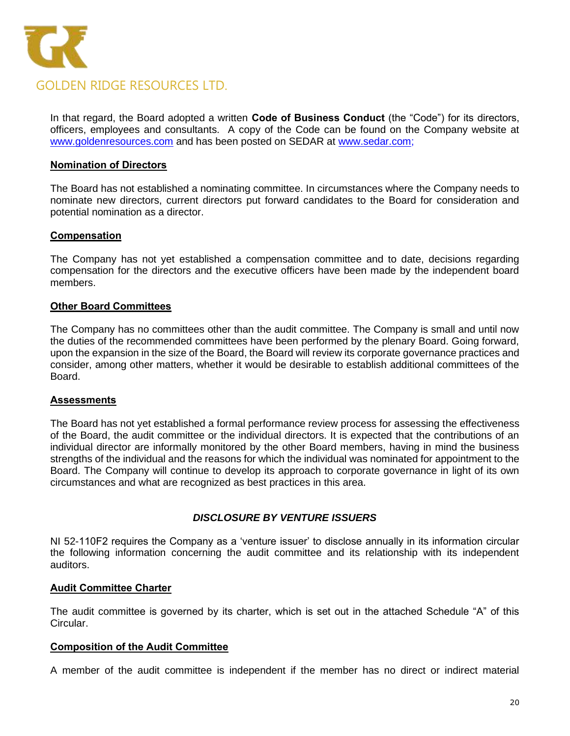

In that regard, the Board adopted a written **Code of Business Conduct** (the "Code") for its directors, officers, employees and consultants. A copy of the Code can be found on the Company website at [www.goldenresources.com](http://www.goldenresources.com/) and has been posted on SEDAR at [www.sedar.com;](http://www.sedar.com/)

#### **Nomination of Directors**

The Board has not established a nominating committee. In circumstances where the Company needs to nominate new directors, current directors put forward candidates to the Board for consideration and potential nomination as a director.

#### **Compensation**

The Company has not yet established a compensation committee and to date, decisions regarding compensation for the directors and the executive officers have been made by the independent board members.

#### **Other Board Committees**

The Company has no committees other than the audit committee. The Company is small and until now the duties of the recommended committees have been performed by the plenary Board. Going forward, upon the expansion in the size of the Board, the Board will review its corporate governance practices and consider, among other matters, whether it would be desirable to establish additional committees of the Board.

#### **Assessments**

The Board has not yet established a formal performance review process for assessing the effectiveness of the Board, the audit committee or the individual directors. It is expected that the contributions of an individual director are informally monitored by the other Board members, having in mind the business strengths of the individual and the reasons for which the individual was nominated for appointment to the Board. The Company will continue to develop its approach to corporate governance in light of its own circumstances and what are recognized as best practices in this area.

#### *DISCLOSURE BY VENTURE ISSUERS*

NI 52-110F2 requires the Company as a 'venture issuer' to disclose annually in its information circular the following information concerning the audit committee and its relationship with its independent auditors.

#### **Audit Committee Charter**

The audit committee is governed by its charter, which is set out in the attached Schedule "A" of this Circular.

#### **Composition of the Audit Committee**

A member of the audit committee is independent if the member has no direct or indirect material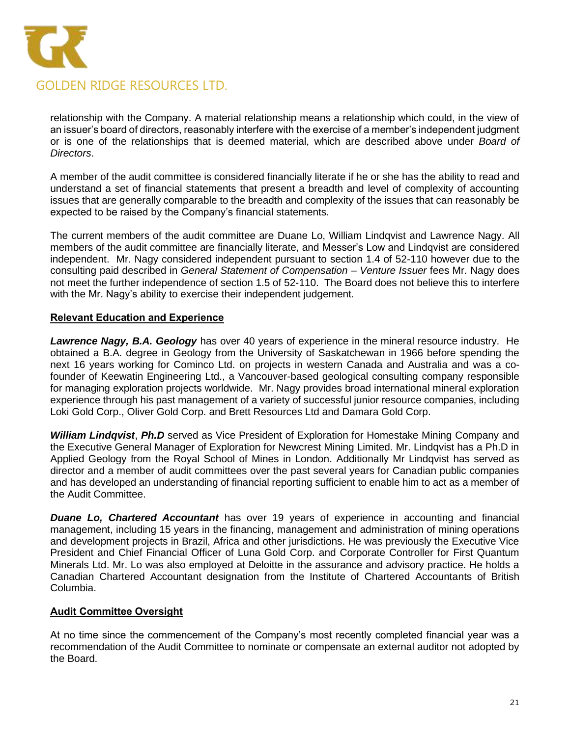

relationship with the Company. A material relationship means a relationship which could, in the view of an issuer's board of directors, reasonably interfere with the exercise of a member's independent judgment or is one of the relationships that is deemed material, which are described above under *Board of Directors*.

A member of the audit committee is considered financially literate if he or she has the ability to read and understand a set of financial statements that present a breadth and level of complexity of accounting issues that are generally comparable to the breadth and complexity of the issues that can reasonably be expected to be raised by the Company's financial statements.

The current members of the audit committee are Duane Lo, William Lindqvist and Lawrence Nagy. All members of the audit committee are financially literate, and Messer's Low and Lindqvist are considered independent. Mr. Nagy considered independent pursuant to section 1.4 of 52-110 however due to the consulting paid described in *General Statement of Compensation – Venture Issuer* fees Mr. Nagy does not meet the further independence of section 1.5 of 52-110. The Board does not believe this to interfere with the Mr. Nagy's ability to exercise their independent judgement.

# **Relevant Education and Experience**

*Lawrence Nagy, B.A. Geology* has over 40 years of experience in the mineral resource industry. He obtained a B.A. degree in Geology from the University of Saskatchewan in 1966 before spending the next 16 years working for Cominco Ltd. on projects in western Canada and Australia and was a cofounder of Keewatin Engineering Ltd., a Vancouver-based geological consulting company responsible for managing exploration projects worldwide. Mr. Nagy provides broad international mineral exploration experience through his past management of a variety of successful junior resource companies, including Loki Gold Corp., Oliver Gold Corp. and Brett Resources Ltd and Damara Gold Corp.

*William Lindqvist*, *Ph.D* served as Vice President of Exploration for Homestake Mining Company and the Executive General Manager of Exploration for Newcrest Mining Limited. Mr. Lindqvist has a Ph.D in Applied Geology from the Royal School of Mines in London. Additionally Mr Lindqvist has served as director and a member of audit committees over the past several years for Canadian public companies and has developed an understanding of financial reporting sufficient to enable him to act as a member of the Audit Committee.

*Duane Lo, Chartered Accountant* has over 19 years of experience in accounting and financial management, including 15 years in the financing, management and administration of mining operations and development projects in Brazil, Africa and other jurisdictions. He was previously the Executive Vice President and Chief Financial Officer of Luna Gold Corp. and Corporate Controller for First Quantum Minerals Ltd. Mr. Lo was also employed at Deloitte in the assurance and advisory practice. He holds a Canadian Chartered Accountant designation from the Institute of Chartered Accountants of British Columbia.

# **Audit Committee Oversight**

At no time since the commencement of the Company's most recently completed financial year was a recommendation of the Audit Committee to nominate or compensate an external auditor not adopted by the Board.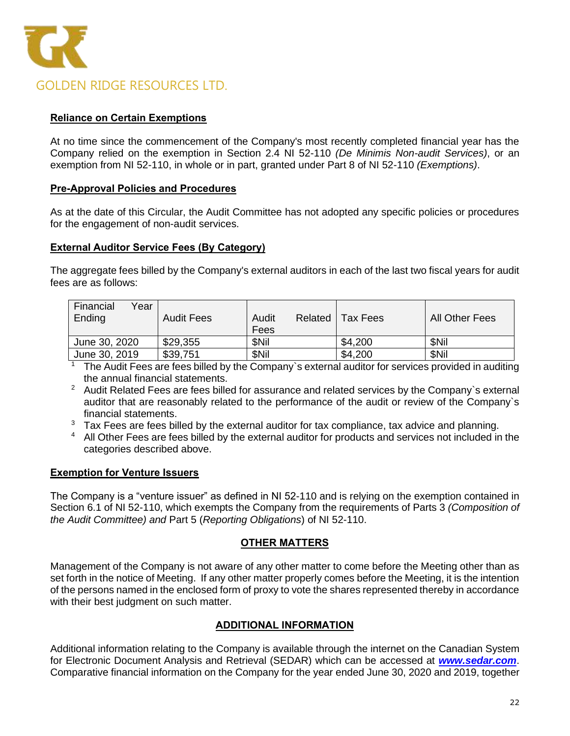

# **Reliance on Certain Exemptions**

At no time since the commencement of the Company's most recently completed financial year has the Company relied on the exemption in Section 2.4 NI 52-110 *(De Minimis Non-audit Services)*, or an exemption from NI 52-110, in whole or in part, granted under Part 8 of NI 52-110 *(Exemptions)*.

### **Pre-Approval Policies and Procedures**

As at the date of this Circular, the Audit Committee has not adopted any specific policies or procedures for the engagement of non-audit services.

#### **External Auditor Service Fees (By Category)**

The aggregate fees billed by the Company's external auditors in each of the last two fiscal years for audit fees are as follows:

| Financial<br>Year<br>Ending | <b>Audit Fees</b> | Audit<br>Related<br>Fees | Tax Fees | All Other Fees |
|-----------------------------|-------------------|--------------------------|----------|----------------|
| June 30, 2020               | \$29,355          | <b>SNil</b>              | \$4,200  | <b>SNil</b>    |
| June 30, 2019               | \$39,751          | \$Nil                    | \$4,200  | <b>SNil</b>    |

 $\overline{1}$  The Audit Fees are fees billed by the Company's external auditor for services provided in auditing the annual financial statements.

- <sup>2</sup> Audit Related Fees are fees billed for assurance and related services by the Company's external auditor that are reasonably related to the performance of the audit or review of the Company`s financial statements.
- $3$  Tax Fees are fees billed by the external auditor for tax compliance, tax advice and planning.
- <sup>4</sup> All Other Fees are fees billed by the external auditor for products and services not included in the categories described above.

# **Exemption for Venture Issuers**

The Company is a "venture issuer" as defined in NI 52-110 and is relying on the exemption contained in Section 6.1 of NI 52-110, which exempts the Company from the requirements of Parts 3 *(Composition of the Audit Committee) and* Part 5 (*Reporting Obligations*) of NI 52-110.

# **OTHER MATTERS**

Management of the Company is not aware of any other matter to come before the Meeting other than as set forth in the notice of Meeting. If any other matter properly comes before the Meeting, it is the intention of the persons named in the enclosed form of proxy to vote the shares represented thereby in accordance with their best judgment on such matter.

# **ADDITIONAL INFORMATION**

Additional information relating to the Company is available through the internet on the Canadian System for Electronic Document Analysis and Retrieval (SEDAR) which can be accessed at *[www.sedar.com](http://www.sedar.com/)*. Comparative financial information on the Company for the year ended June 30, 2020 and 2019, together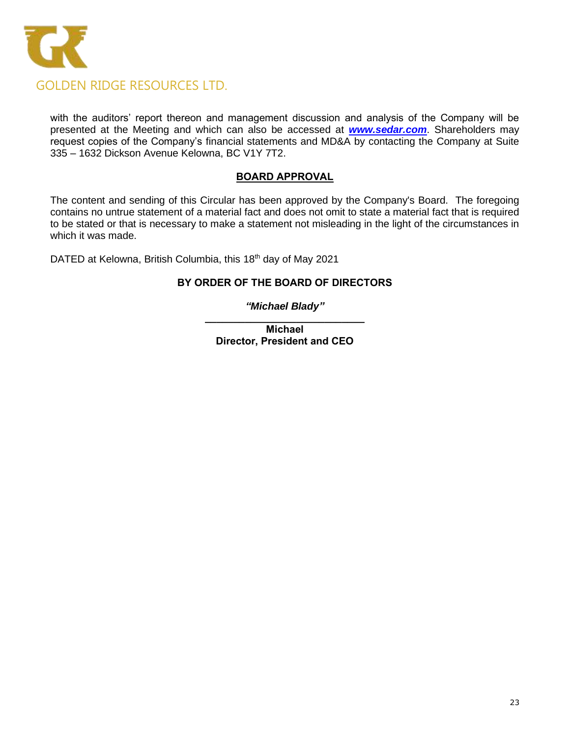

with the auditors' report thereon and management discussion and analysis of the Company will be presented at the Meeting and which can also be accessed at *[www.sedar.com](http://www.sedar.com/)*. Shareholders may request copies of the Company's financial statements and MD&A by contacting the Company at Suite 335 – 1632 Dickson Avenue Kelowna, BC V1Y 7T2.

# **BOARD APPROVAL**

The content and sending of this Circular has been approved by the Company's Board. The foregoing contains no untrue statement of a material fact and does not omit to state a material fact that is required to be stated or that is necessary to make a statement not misleading in the light of the circumstances in which it was made.

DATED at Kelowna, British Columbia, this 18<sup>th</sup> day of May 2021

# **BY ORDER OF THE BOARD OF DIRECTORS**

# *"Michael Blady"*

**\_\_\_\_\_\_\_\_\_\_\_\_\_\_\_\_\_\_\_\_\_\_\_\_\_\_\_\_ Michael Director, President and CEO**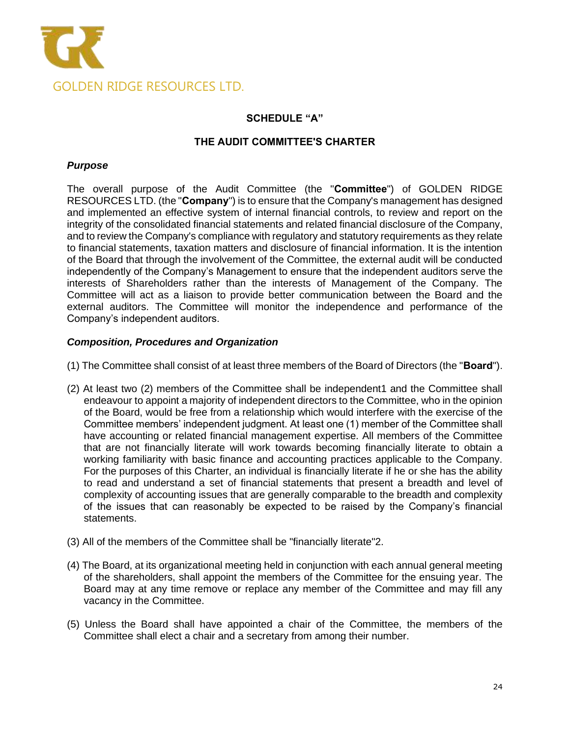

# **SCHEDULE "A"**

### **THE AUDIT COMMITTEE'S CHARTER**

#### *Purpose*

The overall purpose of the Audit Committee (the "**Committee**") of GOLDEN RIDGE RESOURCES LTD. (the "**Company**") is to ensure that the Company's management has designed and implemented an effective system of internal financial controls, to review and report on the integrity of the consolidated financial statements and related financial disclosure of the Company, and to review the Company's compliance with regulatory and statutory requirements as they relate to financial statements, taxation matters and disclosure of financial information. It is the intention of the Board that through the involvement of the Committee, the external audit will be conducted independently of the Company's Management to ensure that the independent auditors serve the interests of Shareholders rather than the interests of Management of the Company. The Committee will act as a liaison to provide better communication between the Board and the external auditors. The Committee will monitor the independence and performance of the Company's independent auditors.

#### *Composition, Procedures and Organization*

- (1) The Committee shall consist of at least three members of the Board of Directors (the "**Board**").
- (2) At least two (2) members of the Committee shall be independent1 and the Committee shall endeavour to appoint a majority of independent directors to the Committee, who in the opinion of the Board, would be free from a relationship which would interfere with the exercise of the Committee members' independent judgment. At least one (1) member of the Committee shall have accounting or related financial management expertise. All members of the Committee that are not financially literate will work towards becoming financially literate to obtain a working familiarity with basic finance and accounting practices applicable to the Company. For the purposes of this Charter, an individual is financially literate if he or she has the ability to read and understand a set of financial statements that present a breadth and level of complexity of accounting issues that are generally comparable to the breadth and complexity of the issues that can reasonably be expected to be raised by the Company's financial statements.
- (3) All of the members of the Committee shall be "financially literate"2.
- (4) The Board, at its organizational meeting held in conjunction with each annual general meeting of the shareholders, shall appoint the members of the Committee for the ensuing year. The Board may at any time remove or replace any member of the Committee and may fill any vacancy in the Committee.
- (5) Unless the Board shall have appointed a chair of the Committee, the members of the Committee shall elect a chair and a secretary from among their number.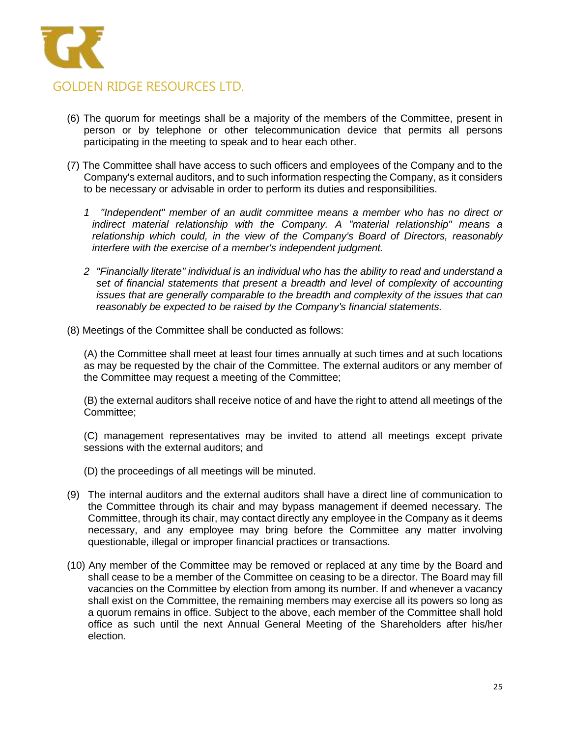

- (6) The quorum for meetings shall be a majority of the members of the Committee, present in person or by telephone or other telecommunication device that permits all persons participating in the meeting to speak and to hear each other.
- (7) The Committee shall have access to such officers and employees of the Company and to the Company's external auditors, and to such information respecting the Company, as it considers to be necessary or advisable in order to perform its duties and responsibilities.
	- *1 "Independent" member of an audit committee means a member who has no direct or indirect material relationship with the Company. A "material relationship" means a relationship which could, in the view of the Company's Board of Directors, reasonably interfere with the exercise of a member's independent judgment.*
	- *2 "Financially literate" individual is an individual who has the ability to read and understand a set of financial statements that present a breadth and level of complexity of accounting issues that are generally comparable to the breadth and complexity of the issues that can reasonably be expected to be raised by the Company's financial statements.*
- (8) Meetings of the Committee shall be conducted as follows:

(A) the Committee shall meet at least four times annually at such times and at such locations as may be requested by the chair of the Committee. The external auditors or any member of the Committee may request a meeting of the Committee;

(B) the external auditors shall receive notice of and have the right to attend all meetings of the Committee;

(C) management representatives may be invited to attend all meetings except private sessions with the external auditors; and

- (D) the proceedings of all meetings will be minuted.
- (9) The internal auditors and the external auditors shall have a direct line of communication to the Committee through its chair and may bypass management if deemed necessary. The Committee, through its chair, may contact directly any employee in the Company as it deems necessary, and any employee may bring before the Committee any matter involving questionable, illegal or improper financial practices or transactions.
- (10) Any member of the Committee may be removed or replaced at any time by the Board and shall cease to be a member of the Committee on ceasing to be a director. The Board may fill vacancies on the Committee by election from among its number. If and whenever a vacancy shall exist on the Committee, the remaining members may exercise all its powers so long as a quorum remains in office. Subject to the above, each member of the Committee shall hold office as such until the next Annual General Meeting of the Shareholders after his/her election.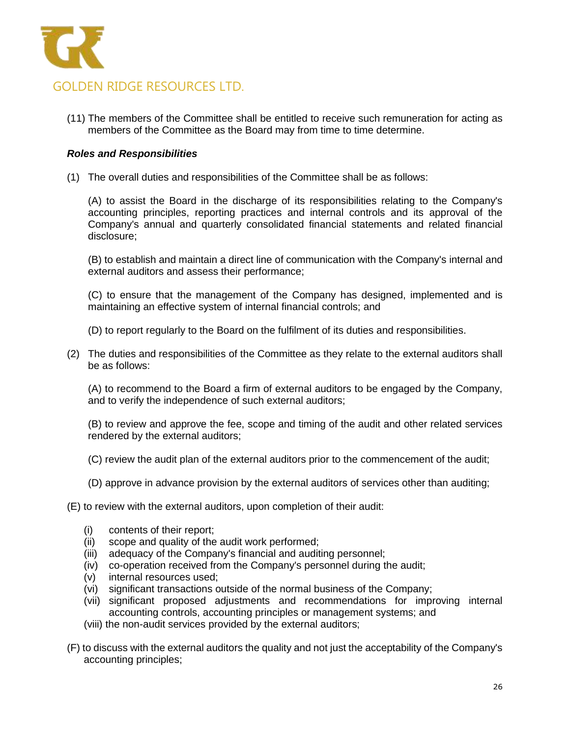

(11) The members of the Committee shall be entitled to receive such remuneration for acting as members of the Committee as the Board may from time to time determine.

### *Roles and Responsibilities*

(1) The overall duties and responsibilities of the Committee shall be as follows:

(A) to assist the Board in the discharge of its responsibilities relating to the Company's accounting principles, reporting practices and internal controls and its approval of the Company's annual and quarterly consolidated financial statements and related financial disclosure;

(B) to establish and maintain a direct line of communication with the Company's internal and external auditors and assess their performance;

(C) to ensure that the management of the Company has designed, implemented and is maintaining an effective system of internal financial controls; and

- (D) to report regularly to the Board on the fulfilment of its duties and responsibilities.
- (2) The duties and responsibilities of the Committee as they relate to the external auditors shall be as follows:

(A) to recommend to the Board a firm of external auditors to be engaged by the Company, and to verify the independence of such external auditors;

(B) to review and approve the fee, scope and timing of the audit and other related services rendered by the external auditors;

- (C) review the audit plan of the external auditors prior to the commencement of the audit;
- (D) approve in advance provision by the external auditors of services other than auditing;
- (E) to review with the external auditors, upon completion of their audit:
	- (i) contents of their report;
	- (ii) scope and quality of the audit work performed;
	- (iii) adequacy of the Company's financial and auditing personnel;
	- (iv) co-operation received from the Company's personnel during the audit;
	- (v) internal resources used;
	- (vi) significant transactions outside of the normal business of the Company;
	- (vii) significant proposed adjustments and recommendations for improving internal accounting controls, accounting principles or management systems; and
	- (viii) the non-audit services provided by the external auditors;
- (F) to discuss with the external auditors the quality and not just the acceptability of the Company's accounting principles;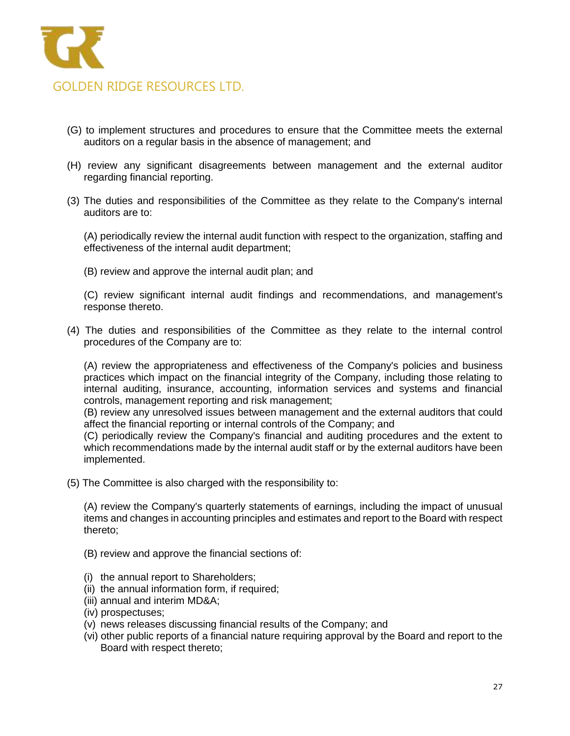

- (G) to implement structures and procedures to ensure that the Committee meets the external auditors on a regular basis in the absence of management; and
- (H) review any significant disagreements between management and the external auditor regarding financial reporting.
- (3) The duties and responsibilities of the Committee as they relate to the Company's internal auditors are to:

(A) periodically review the internal audit function with respect to the organization, staffing and effectiveness of the internal audit department;

(B) review and approve the internal audit plan; and

(C) review significant internal audit findings and recommendations, and management's response thereto.

(4) The duties and responsibilities of the Committee as they relate to the internal control procedures of the Company are to:

(A) review the appropriateness and effectiveness of the Company's policies and business practices which impact on the financial integrity of the Company, including those relating to internal auditing, insurance, accounting, information services and systems and financial controls, management reporting and risk management;

(B) review any unresolved issues between management and the external auditors that could affect the financial reporting or internal controls of the Company; and

(C) periodically review the Company's financial and auditing procedures and the extent to which recommendations made by the internal audit staff or by the external auditors have been implemented.

(5) The Committee is also charged with the responsibility to:

(A) review the Company's quarterly statements of earnings, including the impact of unusual items and changes in accounting principles and estimates and report to the Board with respect thereto;

(B) review and approve the financial sections of:

- (i) the annual report to Shareholders;
- (ii) the annual information form, if required;
- (iii) annual and interim MD&A;
- (iv) prospectuses;
- (v) news releases discussing financial results of the Company; and
- (vi) other public reports of a financial nature requiring approval by the Board and report to the Board with respect thereto;